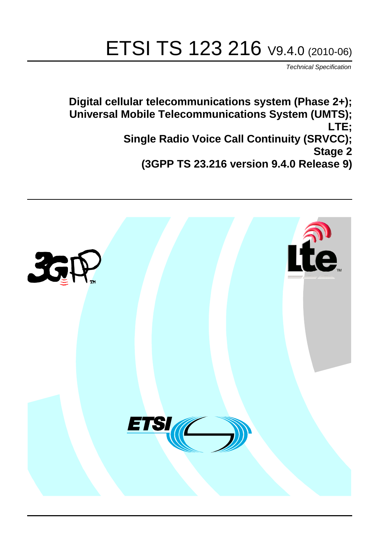# ETSI TS 123 216 V9.4.0 (2010-06)

*Technical Specification*

**Digital cellular telecommunications system (Phase 2+); Universal Mobile Telecommunications System (UMTS); LTE; Single Radio Voice Call Continuity (SRVCC); Stage 2 (3GPP TS 23.216 version 9.4.0 Release 9)**

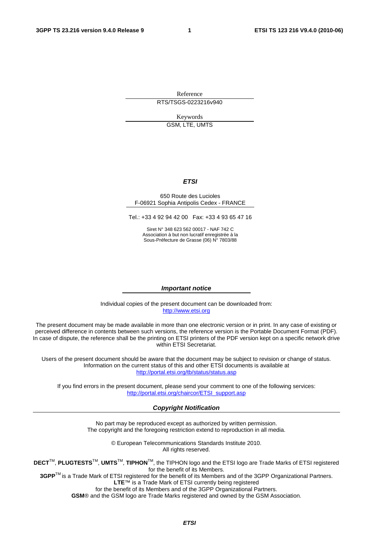Reference RTS/TSGS-0223216v940

> Keywords GSM, LTE, UMTS

#### *ETSI*

#### 650 Route des Lucioles F-06921 Sophia Antipolis Cedex - FRANCE

Tel.: +33 4 92 94 42 00 Fax: +33 4 93 65 47 16

Siret N° 348 623 562 00017 - NAF 742 C Association à but non lucratif enregistrée à la Sous-Préfecture de Grasse (06) N° 7803/88

#### *Important notice*

Individual copies of the present document can be downloaded from: [http://www.etsi.org](http://www.etsi.org/)

The present document may be made available in more than one electronic version or in print. In any case of existing or perceived difference in contents between such versions, the reference version is the Portable Document Format (PDF). In case of dispute, the reference shall be the printing on ETSI printers of the PDF version kept on a specific network drive within ETSI Secretariat.

Users of the present document should be aware that the document may be subject to revision or change of status. Information on the current status of this and other ETSI documents is available at <http://portal.etsi.org/tb/status/status.asp>

If you find errors in the present document, please send your comment to one of the following services: [http://portal.etsi.org/chaircor/ETSI\\_support.asp](http://portal.etsi.org/chaircor/ETSI_support.asp)

#### *Copyright Notification*

No part may be reproduced except as authorized by written permission. The copyright and the foregoing restriction extend to reproduction in all media.

> © European Telecommunications Standards Institute 2010. All rights reserved.

**DECT**TM, **PLUGTESTS**TM, **UMTS**TM, **TIPHON**TM, the TIPHON logo and the ETSI logo are Trade Marks of ETSI registered for the benefit of its Members.

**3GPP**TM is a Trade Mark of ETSI registered for the benefit of its Members and of the 3GPP Organizational Partners. **LTE**™ is a Trade Mark of ETSI currently being registered

for the benefit of its Members and of the 3GPP Organizational Partners.

**GSM**® and the GSM logo are Trade Marks registered and owned by the GSM Association.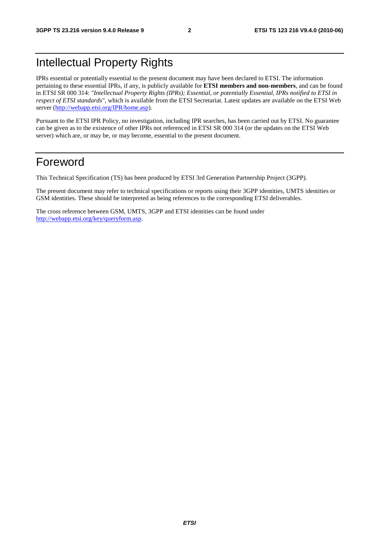### Intellectual Property Rights

IPRs essential or potentially essential to the present document may have been declared to ETSI. The information pertaining to these essential IPRs, if any, is publicly available for **ETSI members and non-members**, and can be found in ETSI SR 000 314: *"Intellectual Property Rights (IPRs); Essential, or potentially Essential, IPRs notified to ETSI in respect of ETSI standards"*, which is available from the ETSI Secretariat. Latest updates are available on the ETSI Web server [\(http://webapp.etsi.org/IPR/home.asp\)](http://webapp.etsi.org/IPR/home.asp).

Pursuant to the ETSI IPR Policy, no investigation, including IPR searches, has been carried out by ETSI. No guarantee can be given as to the existence of other IPRs not referenced in ETSI SR 000 314 (or the updates on the ETSI Web server) which are, or may be, or may become, essential to the present document.

### Foreword

This Technical Specification (TS) has been produced by ETSI 3rd Generation Partnership Project (3GPP).

The present document may refer to technical specifications or reports using their 3GPP identities, UMTS identities or GSM identities. These should be interpreted as being references to the corresponding ETSI deliverables.

The cross reference between GSM, UMTS, 3GPP and ETSI identities can be found under [http://webapp.etsi.org/key/queryform.asp.](http://webapp.etsi.org/key/queryform.asp)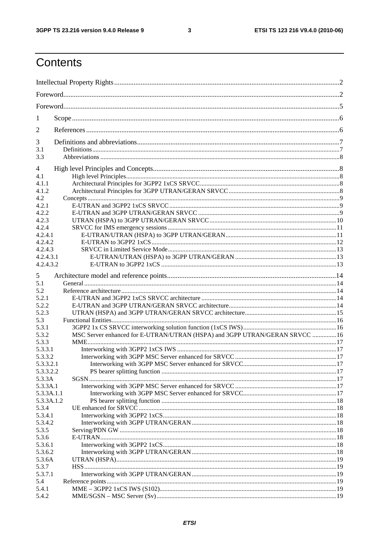$\mathbf{3}$ 

## Contents

| 1          |                                                                             |  |  |  |  |  |  |
|------------|-----------------------------------------------------------------------------|--|--|--|--|--|--|
| 2          |                                                                             |  |  |  |  |  |  |
| 3          |                                                                             |  |  |  |  |  |  |
| 3.1        |                                                                             |  |  |  |  |  |  |
| 3.3        |                                                                             |  |  |  |  |  |  |
| 4          |                                                                             |  |  |  |  |  |  |
| 4.1        |                                                                             |  |  |  |  |  |  |
| 4.1.1      |                                                                             |  |  |  |  |  |  |
| 4.1.2      |                                                                             |  |  |  |  |  |  |
| 4.2        |                                                                             |  |  |  |  |  |  |
| 4.2.1      |                                                                             |  |  |  |  |  |  |
| 4.2.2      |                                                                             |  |  |  |  |  |  |
| 4.2.3      |                                                                             |  |  |  |  |  |  |
| 4.2.4      |                                                                             |  |  |  |  |  |  |
| 4.2.4.1    |                                                                             |  |  |  |  |  |  |
| 4.2.4.2    |                                                                             |  |  |  |  |  |  |
| 4.2.4.3    |                                                                             |  |  |  |  |  |  |
| 4.2.4.3.1  |                                                                             |  |  |  |  |  |  |
| 4.2.4.3.2  |                                                                             |  |  |  |  |  |  |
|            |                                                                             |  |  |  |  |  |  |
| 5          |                                                                             |  |  |  |  |  |  |
| 5.1        |                                                                             |  |  |  |  |  |  |
| 5.2        |                                                                             |  |  |  |  |  |  |
| 5.2.1      |                                                                             |  |  |  |  |  |  |
| 5.2.2      |                                                                             |  |  |  |  |  |  |
| 5.2.3      |                                                                             |  |  |  |  |  |  |
| 5.3        |                                                                             |  |  |  |  |  |  |
| 5.3.1      |                                                                             |  |  |  |  |  |  |
| 5.3.2      | MSC Server enhanced for E-UTRAN/UTRAN (HSPA) and 3GPP UTRAN/GERAN SRVCC  16 |  |  |  |  |  |  |
|            |                                                                             |  |  |  |  |  |  |
| 5.3.3      |                                                                             |  |  |  |  |  |  |
| 5.3.3.1    |                                                                             |  |  |  |  |  |  |
| 5.3.3.2    |                                                                             |  |  |  |  |  |  |
| 5.3.3.2.1  |                                                                             |  |  |  |  |  |  |
| 5.3.3.2.2  |                                                                             |  |  |  |  |  |  |
| 5.3.3A     |                                                                             |  |  |  |  |  |  |
| 5.3.3A.1   |                                                                             |  |  |  |  |  |  |
| 5.3.3A.1.1 |                                                                             |  |  |  |  |  |  |
| 5.3.3A.1.2 |                                                                             |  |  |  |  |  |  |
| 5.3.4      |                                                                             |  |  |  |  |  |  |
| 5.3.4.1    |                                                                             |  |  |  |  |  |  |
| 5.3.4.2    |                                                                             |  |  |  |  |  |  |
| 5.3.5      |                                                                             |  |  |  |  |  |  |
| 5.3.6      |                                                                             |  |  |  |  |  |  |
| 5.3.6.1    |                                                                             |  |  |  |  |  |  |
| 5.3.6.2    |                                                                             |  |  |  |  |  |  |
| 5.3.6A     |                                                                             |  |  |  |  |  |  |
| 5.3.7      |                                                                             |  |  |  |  |  |  |
| 5.3.7.1    |                                                                             |  |  |  |  |  |  |
|            |                                                                             |  |  |  |  |  |  |
| 5.4        |                                                                             |  |  |  |  |  |  |
| 5.4.1      |                                                                             |  |  |  |  |  |  |
| 5.4.2      |                                                                             |  |  |  |  |  |  |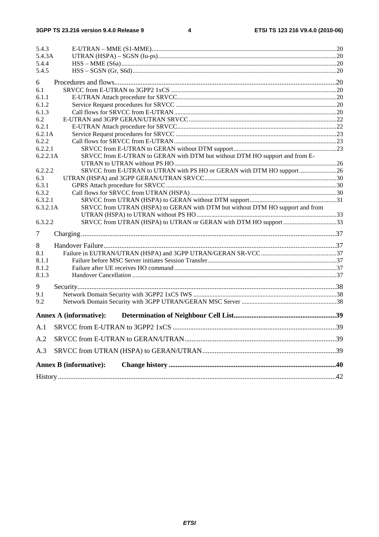| 5.4.3               |                                                                               |     |
|---------------------|-------------------------------------------------------------------------------|-----|
| 5.4.3A              |                                                                               |     |
| 5.4.4               |                                                                               |     |
| 5.4.5               |                                                                               |     |
| 6                   |                                                                               |     |
| 6.1                 |                                                                               |     |
| 6.1.1               |                                                                               |     |
| 6.1.2               |                                                                               |     |
| 6.1.3               |                                                                               |     |
| 6.2                 |                                                                               |     |
| 6.2.1               |                                                                               |     |
| 6.2.1A              |                                                                               |     |
| 6.2.2               |                                                                               |     |
| 6.2.2.1             |                                                                               |     |
| 6.2.2.1A            | SRVCC from E-UTRAN to GERAN with DTM but without DTM HO support and from E-   |     |
|                     |                                                                               |     |
| 6.2.2.2             | SRVCC from E-UTRAN to UTRAN with PS HO or GERAN with DTM HO support26         |     |
| 6.3                 |                                                                               |     |
| 6.3.1               |                                                                               |     |
| 6.3.2               |                                                                               |     |
| 6.3.2.1<br>6.3.2.1A |                                                                               |     |
|                     | SRVCC from UTRAN (HSPA) to GERAN with DTM but without DTM HO support and from |     |
| 6.3.2.2             | SRVCC from UTRAN (HSPA) to UTRAN or GERAN with DTM HO support 33              |     |
| $\tau$              |                                                                               |     |
|                     |                                                                               |     |
| 8                   |                                                                               |     |
| 8.1                 |                                                                               |     |
| 8.1.1               |                                                                               |     |
| 8.1.2               |                                                                               |     |
| 8.1.3               |                                                                               |     |
| 9                   |                                                                               |     |
| 9.1                 |                                                                               |     |
| 9.2                 |                                                                               |     |
|                     | <b>Annex A (informative):</b>                                                 |     |
|                     |                                                                               | .39 |
| A.2                 |                                                                               |     |
| A.3                 |                                                                               |     |
|                     | <b>Annex B</b> (informative):                                                 |     |
|                     |                                                                               |     |
|                     |                                                                               |     |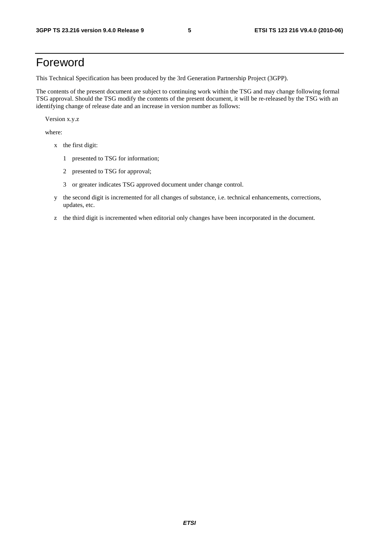### Foreword

This Technical Specification has been produced by the 3rd Generation Partnership Project (3GPP).

The contents of the present document are subject to continuing work within the TSG and may change following formal TSG approval. Should the TSG modify the contents of the present document, it will be re-released by the TSG with an identifying change of release date and an increase in version number as follows:

Version x.y.z

where:

- x the first digit:
	- 1 presented to TSG for information;
	- 2 presented to TSG for approval;
	- 3 or greater indicates TSG approved document under change control.
- y the second digit is incremented for all changes of substance, i.e. technical enhancements, corrections, updates, etc.
- z the third digit is incremented when editorial only changes have been incorporated in the document.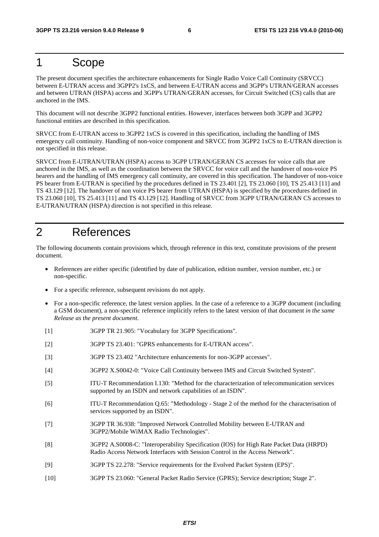### 1 Scope

The present document specifies the architecture enhancements for Single Radio Voice Call Continuity (SRVCC) between E-UTRAN access and 3GPP2's 1xCS, and between E-UTRAN access and 3GPP's UTRAN/GERAN accesses and between UTRAN (HSPA) access and 3GPP's UTRAN/GERAN accesses, for Circuit Switched (CS) calls that are anchored in the IMS.

This document will not describe 3GPP2 functional entities. However, interfaces between both 3GPP and 3GPP2 functional entities are described in this specification.

SRVCC from E-UTRAN access to 3GPP2 1xCS is covered in this specification, including the handling of IMS emergency call continuity. Handling of non-voice component and SRVCC from 3GPP2 1xCS to E-UTRAN direction is not specified in this release.

SRVCC from E-UTRAN/UTRAN (HSPA) access to 3GPP UTRAN/GERAN CS accesses for voice calls that are anchored in the IMS, as well as the coordination between the SRVCC for voice call and the handover of non-voice PS bearers and the handling of IMS emergency call continuity, are covered in this specification. The handover of non-voice PS bearer from E-UTRAN is specified by the procedures defined in TS 23.401 [2], TS 23.060 [10], TS 25.413 [11] and TS 43.129 [12]. The handover of non voice PS bearer from UTRAN (HSPA) is specified by the procedures defined in TS 23.060 [10], TS 25.413 [11] and TS 43.129 [12]. Handling of SRVCC from 3GPP UTRAN/GERAN CS accesses to E-UTRAN/UTRAN (HSPA) direction is not specified in this release.

### 2 References

The following documents contain provisions which, through reference in this text, constitute provisions of the present document.

- References are either specific (identified by date of publication, edition number, version number, etc.) or non-specific.
- For a specific reference, subsequent revisions do not apply.
- For a non-specific reference, the latest version applies. In the case of a reference to a 3GPP document (including a GSM document), a non-specific reference implicitly refers to the latest version of that document *in the same Release as the present document*.
- [1] 3GPP TR 21.905: "Vocabulary for 3GPP Specifications".
- [2] 3GPP TS 23.401: "GPRS enhancements for E-UTRAN access".
- [3] 3GPP TS 23.402 "Architecture enhancements for non-3GPP accesses".
- [4] 3GPP2 X.S0042-0: "Voice Call Continuity between IMS and Circuit Switched System".
- [5] ITU-T Recommendation I.130: "Method for the characterization of telecommunication services supported by an ISDN and network capabilities of an ISDN".
- [6] ITU-T Recommendation Q.65: "Methodology Stage 2 of the method for the characterisation of services supported by an ISDN".
- [7] 3GPP TR 36.938: "Improved Network Controlled Mobility between E-UTRAN and 3GPP2/Mobile WiMAX Radio Technologies".
- [8] 3GPP2 A.S0008-C: "Interoperability Specification (IOS) for High Rate Packet Data (HRPD) Radio Access Network Interfaces with Session Control in the Access Network".
- [9] 3GPP TS 22.278: "Service requirements for the Evolved Packet System (EPS)".
- [10] 3GPP TS 23.060: "General Packet Radio Service (GPRS); Service description; Stage 2".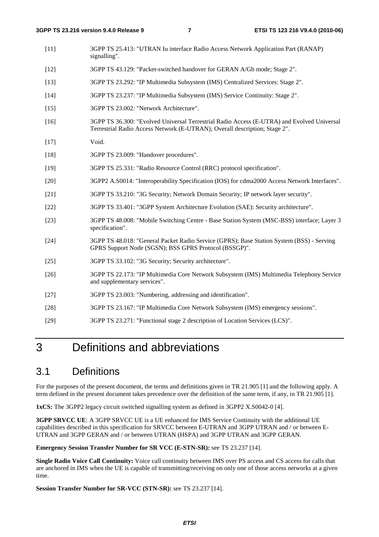- [11] 3GPP TS 25.413: "UTRAN Iu interface Radio Access Network Application Part (RANAP) signalling".
- [12] 3GPP TS 43.129: "Packet-switched handover for GERAN A/Gb mode; Stage 2".
- [13] 3GPP TS 23.292: "IP Multimedia Subsystem (IMS) Centralized Services: Stage 2".
- [14] 3GPP TS 23.237: "IP Multimedia Subsystem (IMS) Service Continuity: Stage 2".
- [15] 3GPP TS 23.002: "Network Architecture".
- [16] 3GPP TS 36.300: "Evolved Universal Terrestrial Radio Access (E-UTRA) and Evolved Universal Terrestrial Radio Access Network (E-UTRAN); Overall description; Stage 2".
- [17] Void.
- [18] 3GPP TS 23.009: "Handover procedures".
- [19] 3GPP TS 25.331: "Radio Resource Control (RRC) protocol specification".
- [20] 3GPP2 A.S0014: "Interoperability Specification (IOS) for cdma2000 Access Network Interfaces".
- [21] 3GPP TS 33.210: "3G Security; Network Domain Security; IP network layer security".
- [22] 3GPP TS 33.401: "3GPP System Architecture Evolution (SAE): Security architecture".
- [23] 3GPP TS 48.008: "Mobile Switching Centre Base Station System (MSC-BSS) interface; Layer 3 specification".
- [24] 3GPP TS 48.018: "General Packet Radio Service (GPRS); Base Station System (BSS) Serving GPRS Support Node (SGSN); BSS GPRS Protocol (BSSGP)".
- [25] 3GPP TS 33.102: "3G Security; Security architecture".
- [26] 3GPP TS 22.173: "IP Multimedia Core Network Subsystem (IMS) Multimedia Telephony Service and supplementary services".
- [27] 3GPP TS 23.003: "Numbering, addressing and identification".
- [28] 3GPP TS 23.167: "IP Multimedia Core Network Subsystem (IMS) emergency sessions".
- [29] 3GPP TS 23.271: "Functional stage 2 description of Location Services (LCS)".

### 3 Definitions and abbreviations

### 3.1 Definitions

For the purposes of the present document, the terms and definitions given in TR 21.905 [1] and the following apply. A term defined in the present document takes precedence over the definition of the same term, if any, in TR 21.905 [1].

**1xCS:** The 3GPP2 legacy circuit switched signalling system as defined in 3GPP2 X.S0042-0 [4].

**3GPP SRVCC UE:** A 3GPP SRVCC UE is a UE enhanced for IMS Service Continuity with the additional UE capabilities described in this specification for SRVCC between E-UTRAN and 3GPP UTRAN and / or between E-UTRAN and 3GPP GERAN and / or between UTRAN (HSPA) and 3GPP UTRAN and 3GPP GERAN.

**Emergency Session Transfer Number for SR VCC (E-STN-SR):** see TS 23.237 [14].

**Single Radio Voice Call Continuity:** Voice call continuity between IMS over PS access and CS access for calls that are anchored in IMS when the UE is capable of transmitting/receiving on only one of those access networks at a given time.

**Session Transfer Number for SR-VCC (STN-SR):** see TS 23.237 [14].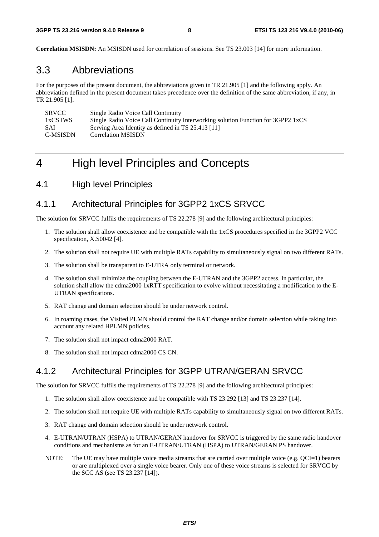**Correlation MSISDN:** An MSISDN used for correlation of sessions. See TS 23.003 [14] for more information.

### 3.3 Abbreviations

For the purposes of the present document, the abbreviations given in TR 21.905 [1] and the following apply. An abbreviation defined in the present document takes precedence over the definition of the same abbreviation, if any, in TR 21.905 [1].

| <b>SRVCC</b> | Single Radio Voice Call Continuity                                               |
|--------------|----------------------------------------------------------------------------------|
| 1xCS IWS     | Single Radio Voice Call Continuity Interworking solution Function for 3GPP2 1xCS |
| <b>SAI</b>   | Serving Area Identity as defined in TS 25.413 [11]                               |
| C-MSISDN     | <b>Correlation MSISDN</b>                                                        |

### 4 High level Principles and Concepts

4.1 High level Principles

#### 4.1.1 Architectural Principles for 3GPP2 1xCS SRVCC

The solution for SRVCC fulfils the requirements of TS 22.278 [9] and the following architectural principles:

- 1. The solution shall allow coexistence and be compatible with the 1xCS procedures specified in the 3GPP2 VCC specification, X.S0042 [4].
- 2. The solution shall not require UE with multiple RATs capability to simultaneously signal on two different RATs.
- 3. The solution shall be transparent to E-UTRA only terminal or network.
- 4. The solution shall minimize the coupling between the E-UTRAN and the 3GPP2 access. In particular, the solution shall allow the cdma2000 1xRTT specification to evolve without necessitating a modification to the E-UTRAN specifications.
- 5. RAT change and domain selection should be under network control.
- 6. In roaming cases, the Visited PLMN should control the RAT change and/or domain selection while taking into account any related HPLMN policies.
- 7. The solution shall not impact cdma2000 RAT.
- 8. The solution shall not impact cdma2000 CS CN.

#### 4.1.2 Architectural Principles for 3GPP UTRAN/GERAN SRVCC

The solution for SRVCC fulfils the requirements of TS 22.278 [9] and the following architectural principles:

- 1. The solution shall allow coexistence and be compatible with TS 23.292 [13] and TS 23.237 [14].
- 2. The solution shall not require UE with multiple RATs capability to simultaneously signal on two different RATs.
- 3. RAT change and domain selection should be under network control.
- 4. E-UTRAN/UTRAN (HSPA) to UTRAN/GERAN handover for SRVCC is triggered by the same radio handover conditions and mechanisms as for an E-UTRAN/UTRAN (HSPA) to UTRAN/GERAN PS handover.
- NOTE: The UE may have multiple voice media streams that are carried over multiple voice (e.g. QCI=1) bearers or are multiplexed over a single voice bearer. Only one of these voice streams is selected for SRVCC by the SCC AS (see TS 23.237 [14]).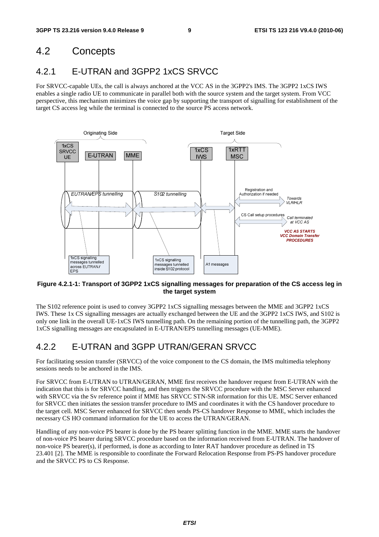### 4.2 Concepts

### 4.2.1 E-UTRAN and 3GPP2 1xCS SRVCC

For SRVCC-capable UEs, the call is always anchored at the VCC AS in the 3GPP2's IMS. The 3GPP2 1xCS IWS enables a single radio UE to communicate in parallel both with the source system and the target system. From VCC perspective, this mechanism minimizes the voice gap by supporting the transport of signalling for establishment of the target CS access leg while the terminal is connected to the source PS access network.



#### **Figure 4.2.1-1: Transport of 3GPP2 1xCS signalling messages for preparation of the CS access leg in the target system**

The S102 reference point is used to convey 3GPP2 1xCS signalling messages between the MME and 3GPP2 1xCS IWS. These 1x CS signalling messages are actually exchanged between the UE and the 3GPP2 1xCS IWS, and S102 is only one link in the overall UE-1xCS IWS tunnelling path. On the remaining portion of the tunnelling path, the 3GPP2 1xCS signalling messages are encapsulated in E-UTRAN/EPS tunnelling messages (UE-MME).

### 4.2.2 E-UTRAN and 3GPP UTRAN/GERAN SRVCC

For facilitating session transfer (SRVCC) of the voice component to the CS domain, the IMS multimedia telephony sessions needs to be anchored in the IMS.

For SRVCC from E-UTRAN to UTRAN/GERAN, MME first receives the handover request from E-UTRAN with the indication that this is for SRVCC handling, and then triggers the SRVCC procedure with the MSC Server enhanced with SRVCC via the Sv reference point if MME has SRVCC STN-SR information for this UE. MSC Server enhanced for SRVCC then initiates the session transfer procedure to IMS and coordinates it with the CS handover procedure to the target cell. MSC Server enhanced for SRVCC then sends PS-CS handover Response to MME, which includes the necessary CS HO command information for the UE to access the UTRAN/GERAN.

Handling of any non-voice PS bearer is done by the PS bearer splitting function in the MME. MME starts the handover of non-voice PS bearer during SRVCC procedure based on the information received from E-UTRAN. The handover of non-voice PS bearer(s), if performed, is done as according to Inter RAT handover procedure as defined in TS 23.401 [2]. The MME is responsible to coordinate the Forward Relocation Response from PS-PS handover procedure and the SRVCC PS to CS Response.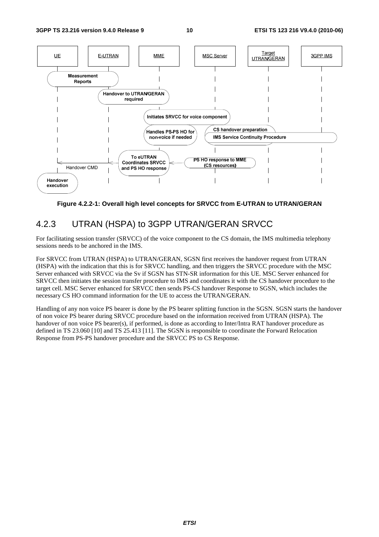

**Figure 4.2.2-1: Overall high level concepts for SRVCC from E-UTRAN to UTRAN/GERAN** 

### 4.2.3 UTRAN (HSPA) to 3GPP UTRAN/GERAN SRVCC

For facilitating session transfer (SRVCC) of the voice component to the CS domain, the IMS multimedia telephony sessions needs to be anchored in the IMS.

For SRVCC from UTRAN (HSPA) to UTRAN/GERAN, SGSN first receives the handover request from UTRAN (HSPA) with the indication that this is for SRVCC handling, and then triggers the SRVCC procedure with the MSC Server enhanced with SRVCC via the Sv if SGSN has STN-SR information for this UE. MSC Server enhanced for SRVCC then initiates the session transfer procedure to IMS and coordinates it with the CS handover procedure to the target cell. MSC Server enhanced for SRVCC then sends PS-CS handover Response to SGSN, which includes the necessary CS HO command information for the UE to access the UTRAN/GERAN.

Handling of any non voice PS bearer is done by the PS bearer splitting function in the SGSN. SGSN starts the handover of non voice PS bearer during SRVCC procedure based on the information received from UTRAN (HSPA). The handover of non voice PS bearer(s), if performed, is done as according to Inter/Intra RAT handover procedure as defined in TS 23.060 [10] and TS 25.413 [11]. The SGSN is responsible to coordinate the Forward Relocation Response from PS-PS handover procedure and the SRVCC PS to CS Response.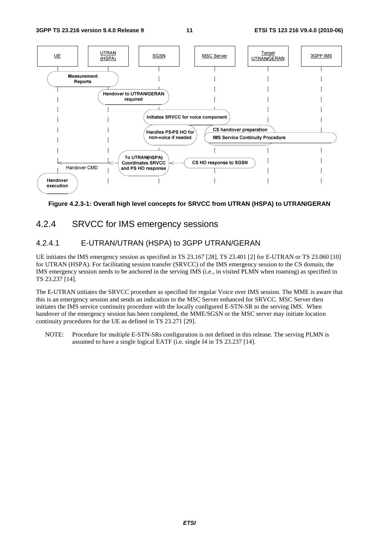

#### **Figure 4.2.3-1: Overall high level concepts for SRVCC from UTRAN (HSPA) to UTRAN/GERAN**

### 4.2.4 SRVCC for IMS emergency sessions

#### 4.2.4.1 E-UTRAN/UTRAN (HSPA) to 3GPP UTRAN/GERAN

UE initiates the IMS emergency session as specified in TS 23.167 [28], TS 23.401 [2] for E-UTRAN or TS 23.060 [10] for UTRAN (HSPA). For facilitating session transfer (SRVCC) of the IMS emergency session to the CS domain, the IMS emergency session needs to be anchored in the serving IMS (i.e., in visited PLMN when roaming) as specified in TS 23.237 [14].

The E-UTRAN initiates the SRVCC procedure as specified for regular Voice over IMS session. The MME is aware that this is an emergency session and sends an indication to the MSC Server enhanced for SRVCC. MSC Server then initiates the IMS service continuity procedure with the locally configured E-STN-SR to the serving IMS. When handover of the emergency session has been completed, the MME/SGSN or the MSC server may initiate location continuity procedures for the UE as defined in TS 23.271 [29].

NOTE: Procedure for multiple E-STN-SRs configuration is not defined in this release. The serving PLMN is assumed to have a single logical EATF (i.e. single I4 in TS 23.237 [14].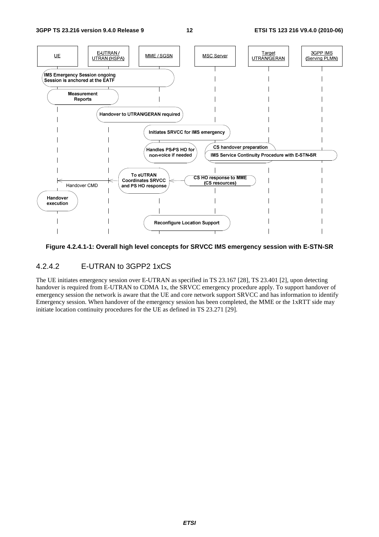

#### **Figure 4.2.4.1-1: Overall high level concepts for SRVCC IMS emergency session with E-STN-SR**

#### 4.2.4.2 E-UTRAN to 3GPP2 1xCS

The UE initiates emergency session over E-UTRAN as specified in TS 23.167 [28], TS 23.401 [2], upon detecting handover is required from E-UTRAN to CDMA 1x, the SRVCC emergency procedure apply. To support handover of emergency session the network is aware that the UE and core network support SRVCC and has information to identify Emergency session. When handover of the emergency session has been completed, the MME or the 1xRTT side may initiate location continuity procedures for the UE as defined in TS 23.271 [29].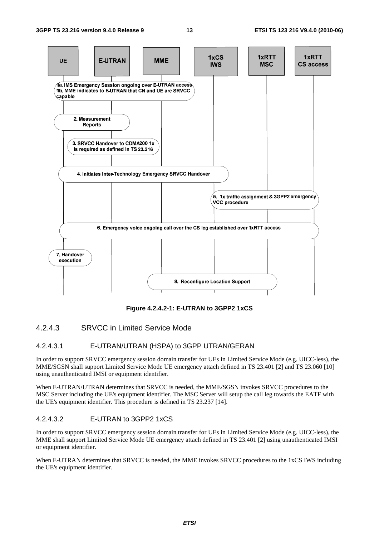

**Figure 4.2.4.2-1: E-UTRAN to 3GPP2 1xCS** 

#### 4.2.4.3 SRVCC in Limited Service Mode

#### 4.2.4.3.1 E-UTRAN/UTRAN (HSPA) to 3GPP UTRAN/GERAN

In order to support SRVCC emergency session domain transfer for UEs in Limited Service Mode (e.g. UICC-less), the MME/SGSN shall support Limited Service Mode UE emergency attach defined in TS 23.401 [2] and TS 23.060 [10] using unauthenticated IMSI or equipment identifier.

When E-UTRAN/UTRAN determines that SRVCC is needed, the MME/SGSN invokes SRVCC procedures to the MSC Server including the UE's equipment identifier. The MSC Server will setup the call leg towards the EATF with the UE's equipment identifier. This procedure is defined in TS 23.237 [14].

#### 4.2.4.3.2 E-UTRAN to 3GPP2 1xCS

In order to support SRVCC emergency session domain transfer for UEs in Limited Service Mode (e.g. UICC-less), the MME shall support Limited Service Mode UE emergency attach defined in TS 23.401 [2] using unauthenticated IMSI or equipment identifier.

When E-UTRAN determines that SRVCC is needed, the MME invokes SRVCC procedures to the 1xCS IWS including the UE's equipment identifier.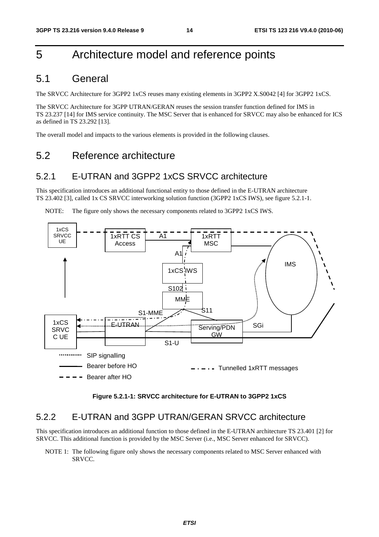### 5 Architecture model and reference points

### 5.1 General

The SRVCC Architecture for 3GPP2 1xCS reuses many existing elements in 3GPP2 X.S0042 [4] for 3GPP2 1xCS.

The SRVCC Architecture for 3GPP UTRAN/GERAN reuses the session transfer function defined for IMS in TS 23.237 [14] for IMS service continuity. The MSC Server that is enhanced for SRVCC may also be enhanced for ICS as defined in TS 23.292 [13].

The overall model and impacts to the various elements is provided in the following clauses.

### 5.2 Reference architecture

#### 5.2.1 E-UTRAN and 3GPP2 1xCS SRVCC architecture

This specification introduces an additional functional entity to those defined in the E-UTRAN architecture TS 23.402 [3], called 1x CS SRVCC interworking solution function (3GPP2 1xCS IWS), see figure 5.2.1-1.

NOTE: The figure only shows the necessary components related to 3GPP2 1xCS IWS.



**Figure 5.2.1-1: SRVCC architecture for E-UTRAN to 3GPP2 1xCS** 

#### 5.2.2 E-UTRAN and 3GPP UTRAN/GERAN SRVCC architecture

This specification introduces an additional function to those defined in the E-UTRAN architecture TS 23.401 [2] for SRVCC. This additional function is provided by the MSC Server (i.e., MSC Server enhanced for SRVCC).

NOTE 1: The following figure only shows the necessary components related to MSC Server enhanced with SRVCC.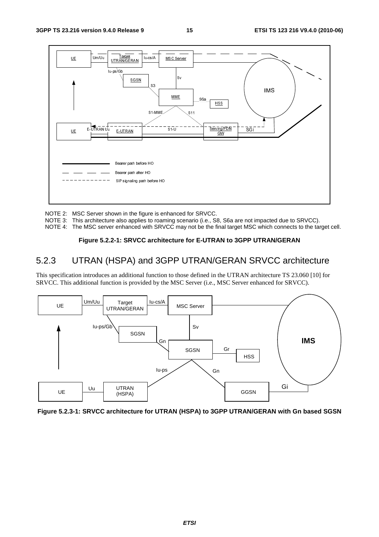

NOTE 2: MSC Server shown in the figure is enhanced for SRVCC.

NOTE 3: This architecture also applies to roaming scenario (i.e., S8, S6a are not impacted due to SRVCC).

NOTE 4: The MSC server enhanced with SRVCC may not be the final target MSC which connects to the target cell.

#### **Figure 5.2.2-1: SRVCC architecture for E-UTRAN to 3GPP UTRAN/GERAN**

### 5.2.3 UTRAN (HSPA) and 3GPP UTRAN/GERAN SRVCC architecture

This specification introduces an additional function to those defined in the UTRAN architecture TS 23.060 [10] for SRVCC. This additional function is provided by the MSC Server (i.e., MSC Server enhanced for SRVCC).



**Figure 5.2.3-1: SRVCC architecture for UTRAN (HSPA) to 3GPP UTRAN/GERAN with Gn based SGSN**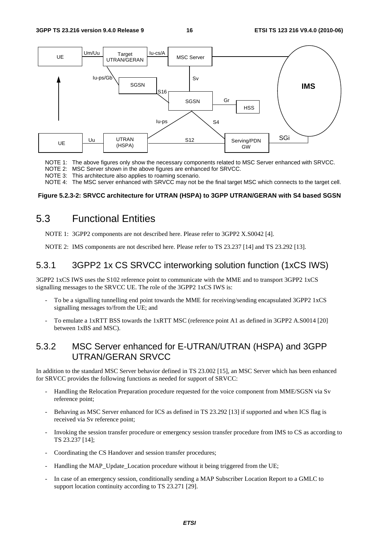

NOTE 1: The above figures only show the necessary components related to MSC Server enhanced with SRVCC.

- NOTE 2: MSC Server shown in the above figures are enhanced for SRVCC.
- NOTE 3: This architecture also applies to roaming scenario.

NOTE 4: The MSC server enhanced with SRVCC may not be the final target MSC which connects to the target cell.

#### **Figure 5.2.3-2: SRVCC architecture for UTRAN (HSPA) to 3GPP UTRAN/GERAN with S4 based SGSN**

### 5.3 Functional Entities

NOTE 1: 3GPP2 components are not described here. Please refer to 3GPP2 X.S0042 [4].

NOTE 2: IMS components are not described here. Please refer to TS 23.237 [14] and TS 23.292 [13].

### 5.3.1 3GPP2 1x CS SRVCC interworking solution function (1xCS IWS)

3GPP2 1xCS IWS uses the S102 reference point to communicate with the MME and to transport 3GPP2 1xCS signalling messages to the SRVCC UE. The role of the 3GPP2 1xCS IWS is:

- To be a signalling tunnelling end point towards the MME for receiving/sending encapsulated 3GPP2 1xCS signalling messages to/from the UE; and
- To emulate a 1xRTT BSS towards the 1xRTT MSC (reference point A1 as defined in 3GPP2 A.S0014 [20] between 1xBS and MSC).

#### 5.3.2 MSC Server enhanced for E-UTRAN/UTRAN (HSPA) and 3GPP UTRAN/GERAN SRVCC

In addition to the standard MSC Server behavior defined in TS 23.002 [15], an MSC Server which has been enhanced for SRVCC provides the following functions as needed for support of SRVCC:

- Handling the Relocation Preparation procedure requested for the voice component from MME/SGSN via Sv reference point;
- Behaving as MSC Server enhanced for ICS as defined in TS 23.292 [13] if supported and when ICS flag is received via Sv reference point;
- Invoking the session transfer procedure or emergency session transfer procedure from IMS to CS as according to TS 23.237 [14];
- Coordinating the CS Handover and session transfer procedures;
- Handling the MAP\_Update\_Location procedure without it being triggered from the UE;
- In case of an emergency session, conditionally sending a MAP Subscriber Location Report to a GMLC to support location continuity according to TS 23.271 [29].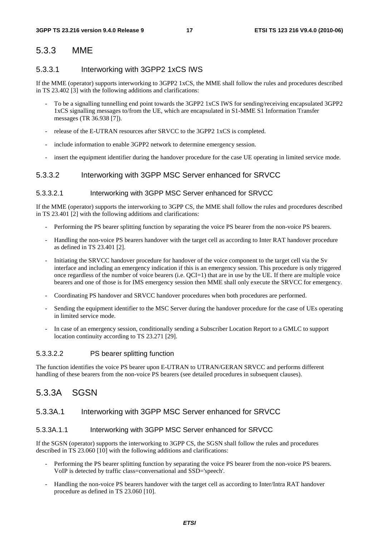### 5.3.3 MME

#### 5.3.3.1 Interworking with 3GPP2 1xCS IWS

If the MME (operator) supports interworking to 3GPP2 1xCS, the MME shall follow the rules and procedures described in TS 23.402 [3] with the following additions and clarifications:

- To be a signalling tunnelling end point towards the 3GPP2 1xCS IWS for sending/receiving encapsulated 3GPP2 1xCS signalling messages to/from the UE, which are encapsulated in S1-MME S1 Information Transfer messages (TR 36.938 [7]).
- release of the E-UTRAN resources after SRVCC to the 3GPP2 1xCS is completed.
- include information to enable 3GPP2 network to determine emergency session.
- insert the equipment identifier during the handover procedure for the case UE operating in limited service mode.

#### 5.3.3.2 Interworking with 3GPP MSC Server enhanced for SRVCC

#### 5.3.3.2.1 Interworking with 3GPP MSC Server enhanced for SRVCC

If the MME (operator) supports the interworking to 3GPP CS, the MME shall follow the rules and procedures described in TS 23.401 [2] with the following additions and clarifications:

- Performing the PS bearer splitting function by separating the voice PS bearer from the non-voice PS bearers.
- Handling the non-voice PS bearers handover with the target cell as according to Inter RAT handover procedure as defined in TS 23.401 [2].
- Initiating the SRVCC handover procedure for handover of the voice component to the target cell via the Sv interface and including an emergency indication if this is an emergency session. This procedure is only triggered once regardless of the number of voice bearers (i.e.  $QCI=1$ ) that are in use by the UE. If there are multiple voice bearers and one of those is for IMS emergency session then MME shall only execute the SRVCC for emergency.
- Coordinating PS handover and SRVCC handover procedures when both procedures are performed.
- Sending the equipment identifier to the MSC Server during the handover procedure for the case of UEs operating in limited service mode.
- In case of an emergency session, conditionally sending a Subscriber Location Report to a GMLC to support location continuity according to TS 23.271 [29].

#### 5.3.3.2.2 PS bearer splitting function

The function identifies the voice PS bearer upon E-UTRAN to UTRAN/GERAN SRVCC and performs different handling of these bearers from the non-voice PS bearers (see detailed procedures in subsequent clauses).

### 5.3.3A SGSN

#### 5.3.3A.1 Interworking with 3GPP MSC Server enhanced for SRVCC

#### 5.3.3A.1.1 Interworking with 3GPP MSC Server enhanced for SRVCC

If the SGSN (operator) supports the interworking to 3GPP CS, the SGSN shall follow the rules and procedures described in TS 23.060 [10] with the following additions and clarifications:

- Performing the PS bearer splitting function by separating the voice PS bearer from the non-voice PS bearers. VoIP is detected by traffic class=conversational and SSD='speech'.
- Handling the non-voice PS bearers handover with the target cell as according to Inter/Intra RAT handover procedure as defined in TS 23.060 [10].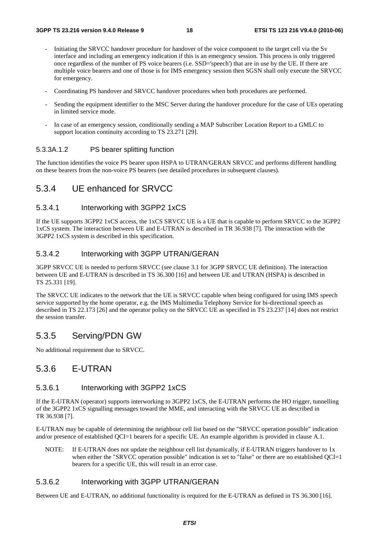- Initiating the SRVCC handover procedure for handover of the voice component to the target cell via the Sv interface and including an emergency indication if this is an emergency session. This process is only triggered once regardless of the number of PS voice bearers (i.e. SSD='speech') that are in use by the UE. If there are multiple voice bearers and one of those is for IMS emergency session then SGSN shall only execute the SRVCC for emergency.
- Coordinating PS handover and SRVCC handover procedures when both procedures are performed.
- Sending the equipment identifier to the MSC Server during the handover procedure for the case of UEs operating in limited service mode.
- In case of an emergency session, conditionally sending a MAP Subscriber Location Report to a GMLC to support location continuity according to TS 23.271 [29].

#### 5.3.3A.1.2 PS bearer splitting function

The function identifies the voice PS bearer upon HSPA to UTRAN/GERAN SRVCC and performs different handling on these bearers from the non-voice PS bearers (see detailed procedures in subsequent clauses).

#### 5.3.4 UE enhanced for SRVCC

#### 5.3.4.1 Interworking with 3GPP2 1xCS

If the UE supports 3GPP2 1xCS access, the 1xCS SRVCC UE is a UE that is capable to perform SRVCC to the 3GPP2 1xCS system. The interaction between UE and E-UTRAN is described in TR 36.938 [7]. The interaction with the 3GPP2 1xCS system is described in this specification.

#### 5.3.4.2 Interworking with 3GPP UTRAN/GERAN

3GPP SRVCC UE is needed to perform SRVCC (see clause 3.1 for 3GPP SRVCC UE definition). The interaction between UE and E-UTRAN is described in TS 36.300 [16] and between UE and UTRAN (HSPA) is described in TS 25.331 [19].

The SRVCC UE indicates to the network that the UE is SRVCC capable when being configured for using IMS speech service supported by the home operator, e.g. the IMS Multimedia Telephony Service for bi-directional speech as described in TS 22.173 [26] and the operator policy on the SRVCC UE as specified in TS 23.237 [14] does not restrict the session transfer.

#### 5.3.5 Serving/PDN GW

No additional requirement due to SRVCC.

#### 5.3.6 E-UTRAN

#### 5.3.6.1 Interworking with 3GPP2 1xCS

If the E-UTRAN (operator) supports interworking to 3GPP2 1xCS, the E-UTRAN performs the HO trigger, tunnelling of the 3GPP2 1xCS signalling messages toward the MME, and interacting with the SRVCC UE as described in TR 36.938 [7].

E-UTRAN may be capable of determining the neighbour cell list based on the "SRVCC operation possible" indication and/or presence of established QCI=1 bearers for a specific UE. An example algorithm is provided in clause A.1.

NOTE: If E-UTRAN does not update the neighbour cell list dynamically, if E-UTRAN triggers handover to 1x when either the "SRVCC operation possible" indication is set to "false" or there are no established QCI=1 bearers for a specific UE, this will result in an error case.

#### 5.3.6.2 Interworking with 3GPP UTRAN/GERAN

Between UE and E-UTRAN, no additional functionality is required for the E-UTRAN as defined in TS 36.300 [16].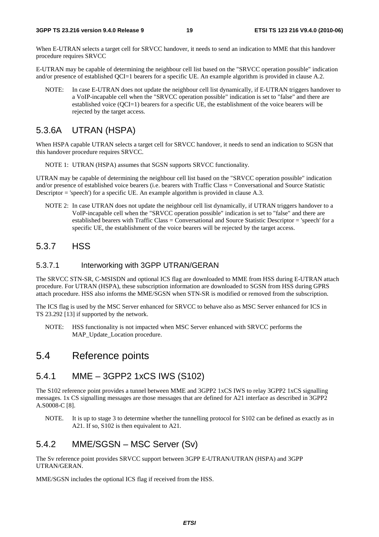When E-UTRAN selects a target cell for SRVCC handover, it needs to send an indication to MME that this handover procedure requires SRVCC

E-UTRAN may be capable of determining the neighbour cell list based on the "SRVCC operation possible" indication and/or presence of established QCI=1 bearers for a specific UE. An example algorithm is provided in clause A.2.

NOTE: In case E-UTRAN does not update the neighbour cell list dynamically, if E-UTRAN triggers handover to a VoIP-incapable cell when the "SRVCC operation possible" indication is set to "false" and there are established voice (QCI=1) bearers for a specific UE, the establishment of the voice bearers will be rejected by the target access.

### 5.3.6A UTRAN (HSPA)

When HSPA capable UTRAN selects a target cell for SRVCC handover, it needs to send an indication to SGSN that this handover procedure requires SRVCC.

NOTE 1: UTRAN (HSPA) assumes that SGSN supports SRVCC functionality.

UTRAN may be capable of determining the neighbour cell list based on the "SRVCC operation possible" indication and/or presence of established voice bearers (i.e. bearers with Traffic Class = Conversational and Source Statistic Descriptor = 'speech') for a specific UE. An example algorithm is provided in clause A.3.

NOTE 2: In case UTRAN does not update the neighbour cell list dynamically, if UTRAN triggers handover to a VoIP-incapable cell when the "SRVCC operation possible" indication is set to "false" and there are established bearers with Traffic Class = Conversational and Source Statistic Descriptor = 'speech' for a specific UE, the establishment of the voice bearers will be rejected by the target access.

#### 5.3.7 HSS

#### 5.3.7.1 Interworking with 3GPP UTRAN/GERAN

The SRVCC STN-SR, C-MSISDN and optional ICS flag are downloaded to MME from HSS during E-UTRAN attach procedure. For UTRAN (HSPA), these subscription information are downloaded to SGSN from HSS during GPRS attach procedure. HSS also informs the MME/SGSN when STN-SR is modified or removed from the subscription.

The ICS flag is used by the MSC Server enhanced for SRVCC to behave also as MSC Server enhanced for ICS in TS 23.292 [13] if supported by the network.

NOTE: HSS functionality is not impacted when MSC Server enhanced with SRVCC performs the MAP\_Update\_Location procedure.

### 5.4 Reference points

### 5.4.1 MME – 3GPP2 1xCS IWS (S102)

The S102 reference point provides a tunnel between MME and 3GPP2 1xCS IWS to relay 3GPP2 1xCS signalling messages. 1x CS signalling messages are those messages that are defined for A21 interface as described in 3GPP2 A.S0008-C [8].

NOTE. It is up to stage 3 to determine whether the tunnelling protocol for S102 can be defined as exactly as in A21. If so, S102 is then equivalent to A21.

### 5.4.2 MME/SGSN – MSC Server (Sv)

The Sv reference point provides SRVCC support between 3GPP E-UTRAN/UTRAN (HSPA) and 3GPP UTRAN/GERAN.

MME/SGSN includes the optional ICS flag if received from the HSS.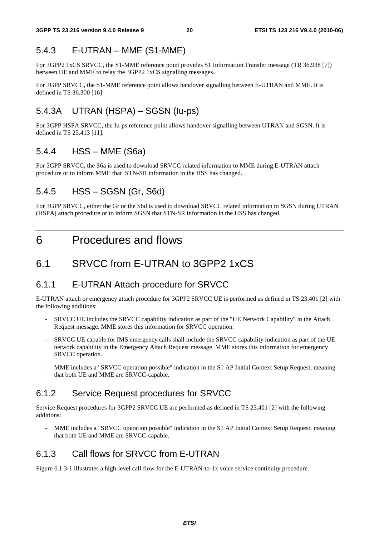### 5.4.3 E-UTRAN – MME (S1-MME)

For 3GPP2 1xCS SRVCC, the S1-MME reference point provides S1 Information Transfer message (TR 36.938 [7]) between UE and MME to relay the 3GPP2 1xCS signalling messages.

For 3GPP SRVCC, the S1-MME reference point allows handover signalling between E-UTRAN and MME. It is defined in TS 36.300 [16]

### 5.4.3A UTRAN (HSPA) – SGSN (Iu-ps)

For 3GPP HSPA SRVCC, the Iu-ps reference point allows handover signalling between UTRAN and SGSN. It is defined in TS 25.413 [11].

### 5.4.4 HSS – MME (S6a)

For 3GPP SRVCC, the S6a is used to download SRVCC related information to MME during E-UTRAN attach procedure or to inform MME that STN-SR information in the HSS has changed.

### 5.4.5 HSS – SGSN (Gr, S6d)

For 3GPP SRVCC, either the Gr or the S6d is used to download SRVCC related information to SGSN during UTRAN (HSPA) attach procedure or to inform SGSN that STN-SR information in the HSS has changed.

### 6 Procedures and flows

### 6.1 SRVCC from E-UTRAN to 3GPP2 1xCS

#### 6.1.1 E-UTRAN Attach procedure for SRVCC

E-UTRAN attach or emergency attach procedure for 3GPP2 SRVCC UE is performed as defined in TS 23.401 [2] with the following additions:

- SRVCC UE includes the SRVCC capability indication as part of the "UE Network Capability" in the Attach Request message. MME stores this information for SRVCC operation.
- SRVCC UE capable for IMS emergency calls shall include the SRVCC capability indication as part of the UE network capability in the Emergency Attach Request message. MME stores this information for emergency SRVCC operation.
- MME includes a "SRVCC operation possible" indication in the S1 AP Initial Context Setup Request, meaning that both UE and MME are SRVCC-capable.

### 6.1.2 Service Request procedures for SRVCC

Service Request procedures for 3GPP2 SRVCC UE are performed as defined in TS 23.401 [2] with the following additions:

MME includes a "SRVCC operation possible" indication in the S1 AP Initial Context Setup Request, meaning that both UE and MME are SRVCC-capable.

### 6.1.3 Call flows for SRVCC from E-UTRAN

Figure 6.1.3-1 illustrates a high-level call flow for the E-UTRAN-to-1x voice service continuity procedure.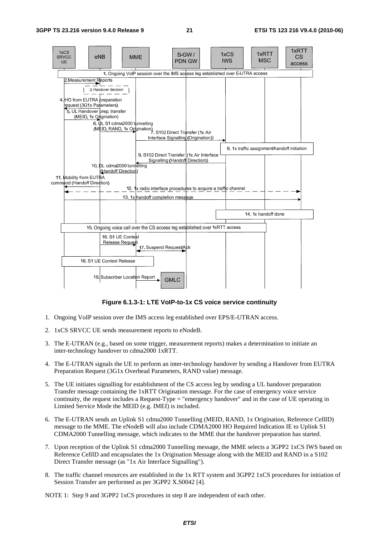

**Figure 6.1.3-1: LTE VoIP-to-1x CS voice service continuity** 

- 1. Ongoing VoIP session over the IMS access leg established over EPS/E-UTRAN access.
- 2. 1xCS SRVCC UE sends measurement reports to eNodeB.
- 3. The E-UTRAN (e.g., based on some trigger, measurement reports) makes a determination to initiate an inter-technology handover to cdma2000 1xRTT.
- 4. The E-UTRAN signals the UE to perform an inter-technology handover by sending a Handover from EUTRA Preparation Request (3G1x Overhead Parameters, RAND value) message.
- 5. The UE initiates signalling for establishment of the CS access leg by sending a UL handover preparation Transfer message containing the 1xRTT Origination message. For the case of emergency voice service continuity, the request includes a Request-Type = "emergency handover" and in the case of UE operating in Limited Service Mode the MEID (e.g. IMEI) is included.
- 6. The E-UTRAN sends an Uplink S1 cdma2000 Tunnelling (MEID, RAND, 1x Origination, Reference CellID) message to the MME. The eNodeB will also include CDMA2000 HO Required Indication IE to Uplink S1 CDMA2000 Tunnelling message, which indicates to the MME that the handover preparation has started.
- 7. Upon reception of the Uplink S1 cdma2000 Tunnelling message, the MME selects a 3GPP2 1xCS IWS based on Reference CellID and encapsulates the 1x Origination Message along with the MEID and RAND in a S102 Direct Transfer message (as "1x Air Interface Signalling").
- 8. The traffic channel resources are established in the 1x RTT system and 3GPP2 1xCS procedures for initiation of Session Transfer are performed as per 3GPP2 X.S0042 [4].

NOTE 1: Step 9 and 3GPP2 1xCS procedures in step 8 are independent of each other.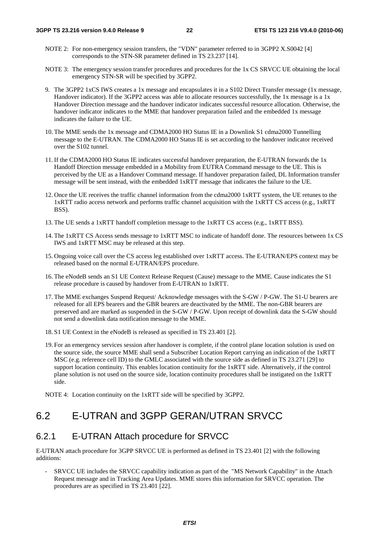- NOTE 2: For non-emergency session transfers, the "VDN" parameter referred to in 3GPP2 X.S0042 [4] corresponds to the STN-SR parameter defined in TS 23.237 [14].
- NOTE 3: The emergency session transfer procedures and procedures for the 1x CS SRVCC UE obtaining the local emergency STN-SR will be specified by 3GPP2.
- 9. The 3GPP2 1xCS IWS creates a 1x message and encapsulates it in a S102 Direct Transfer message (1x message, Handover indicator). If the 3GPP2 access was able to allocate resources successfully, the 1x message is a 1x Handover Direction message and the handover indicator indicates successful resource allocation. Otherwise, the handover indicator indicates to the MME that handover preparation failed and the embedded 1x message indicates the failure to the UE.
- 10. The MME sends the 1x message and CDMA2000 HO Status IE in a Downlink S1 cdma2000 Tunnelling message to the E-UTRAN. The CDMA2000 HO Status IE is set according to the handover indicator received over the S102 tunnel.
- 11. If the CDMA2000 HO Status IE indicates successful handover preparation, the E-UTRAN forwards the 1x Handoff Direction message embedded in a Mobility from EUTRA Command message to the UE. This is perceived by the UE as a Handover Command message. If handover preparation failed, DL Information transfer message will be sent instead, with the embedded 1xRTT message that indicates the failure to the UE.
- 12. Once the UE receives the traffic channel information from the cdma2000 1xRTT system, the UE retunes to the 1xRTT radio access network and performs traffic channel acquisition with the 1xRTT CS access (e.g., 1xRTT BSS).
- 13. The UE sends a 1xRTT handoff completion message to the 1xRTT CS access (e.g., 1xRTT BSS).
- 14. The 1xRTT CS Access sends message to 1xRTT MSC to indicate of handoff done. The resources between 1x CS IWS and 1xRTT MSC may be released at this step.
- 15. Ongoing voice call over the CS access leg established over 1xRTT access. The E-UTRAN/EPS context may be released based on the normal E-UTRAN/EPS procedure.
- 16. The eNodeB sends an S1 UE Context Release Request (Cause) message to the MME. Cause indicates the S1 release procedure is caused by handover from E-UTRAN to 1xRTT.
- 17. The MME exchanges Suspend Request/ Acknowledge messages with the S-GW / P-GW. The S1-U bearers are released for all EPS bearers and the GBR bearers are deactivated by the MME. The non-GBR bearers are preserved and are marked as suspended in the S-GW / P-GW. Upon receipt of downlink data the S-GW should not send a downlink data notification message to the MME.
- 18. S1 UE Context in the eNodeB is released as specified in TS 23.401 [2].
- 19. For an emergency services session after handover is complete, if the control plane location solution is used on the source side, the source MME shall send a Subscriber Location Report carrying an indication of the 1xRTT MSC (e.g. reference cell ID) to the GMLC associated with the source side as defined in TS 23.271 [29] to support location continuity. This enables location continuity for the 1xRTT side. Alternatively, if the control plane solution is not used on the source side, location continuity procedures shall be instigated on the 1xRTT side.
- NOTE 4: Location continuity on the 1xRTT side will be specified by 3GPP2.

### 6.2 E-UTRAN and 3GPP GERAN/UTRAN SRVCC

#### 6.2.1 E-UTRAN Attach procedure for SRVCC

E-UTRAN attach procedure for 3GPP SRVCC UE is performed as defined in TS 23.401 [2] with the following additions:

- SRVCC UE includes the SRVCC capability indication as part of the "MS Network Capability" in the Attach Request message and in Tracking Area Updates. MME stores this information for SRVCC operation. The procedures are as specified in TS 23.401 [22].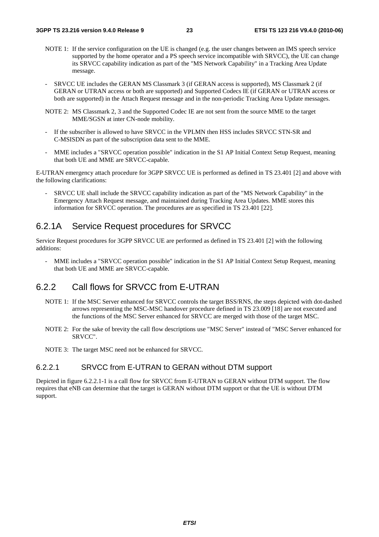- NOTE 1: If the service configuration on the UE is changed (e.g. the user changes between an IMS speech service supported by the home operator and a PS speech service incompatible with SRVCC), the UE can change its SRVCC capability indication as part of the "MS Network Capability" in a Tracking Area Update message.
- SRVCC UE includes the GERAN MS Classmark 3 (if GERAN access is supported), MS Classmark 2 (if GERAN or UTRAN access or both are supported) and Supported Codecs IE (if GERAN or UTRAN access or both are supported) in the Attach Request message and in the non-periodic Tracking Area Update messages.
- NOTE 2: MS Classmark 2, 3 and the Supported Codec IE are not sent from the source MME to the target MME/SGSN at inter CN-node mobility.
- If the subscriber is allowed to have SRVCC in the VPLMN then HSS includes SRVCC STN-SR and C-MSISDN as part of the subscription data sent to the MME.
- MME includes a "SRVCC operation possible" indication in the S1 AP Initial Context Setup Request, meaning that both UE and MME are SRVCC-capable.

E-UTRAN emergency attach procedure for 3GPP SRVCC UE is performed as defined in TS 23.401 [2] and above with the following clarifications:

- SRVCC UE shall include the SRVCC capability indication as part of the "MS Network Capability" in the Emergency Attach Request message, and maintained during Tracking Area Updates. MME stores this information for SRVCC operation. The procedures are as specified in TS 23.401 [22].

#### 6.2.1A Service Request procedures for SRVCC

Service Request procedures for 3GPP SRVCC UE are performed as defined in TS 23.401 [2] with the following additions:

MME includes a "SRVCC operation possible" indication in the S1 AP Initial Context Setup Request, meaning that both UE and MME are SRVCC-capable.

#### 6.2.2 Call flows for SRVCC from E-UTRAN

- NOTE 1: If the MSC Server enhanced for SRVCC controls the target BSS/RNS, the steps depicted with dot-dashed arrows representing the MSC-MSC handover procedure defined in TS 23.009 [18] are not executed and the functions of the MSC Server enhanced for SRVCC are merged with those of the target MSC.
- NOTE 2: For the sake of brevity the call flow descriptions use "MSC Server" instead of "MSC Server enhanced for SRVCC".

NOTE 3: The target MSC need not be enhanced for SRVCC.

#### 6.2.2.1 SRVCC from E-UTRAN to GERAN without DTM support

Depicted in figure 6.2.2.1-1 is a call flow for SRVCC from E-UTRAN to GERAN without DTM support. The flow requires that eNB can determine that the target is GERAN without DTM support or that the UE is without DTM support.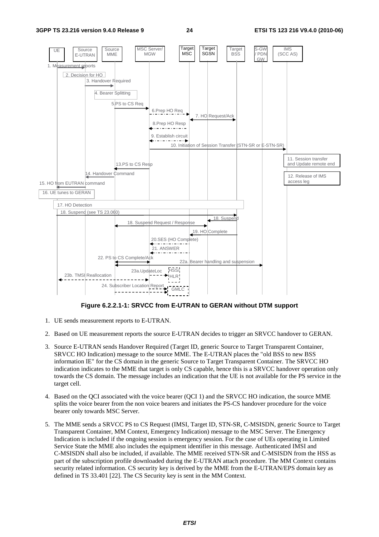

**Figure 6.2.2.1-1: SRVCC from E-UTRAN to GERAN without DTM support** 

- 1. UE sends measurement reports to E-UTRAN.
- 2. Based on UE measurement reports the source E-UTRAN decides to trigger an SRVCC handover to GERAN.
- 3. Source E-UTRAN sends Handover Required (Target ID, generic Source to Target Transparent Container, SRVCC HO Indication) message to the source MME. The E-UTRAN places the "old BSS to new BSS information IE" for the CS domain in the generic Source to Target Transparent Container. The SRVCC HO indication indicates to the MME that target is only CS capable, hence this is a SRVCC handover operation only towards the CS domain. The message includes an indication that the UE is not available for the PS service in the target cell.
- 4. Based on the QCI associated with the voice bearer (QCI 1) and the SRVCC HO indication, the source MME splits the voice bearer from the non voice bearers and initiates the PS-CS handover procedure for the voice bearer only towards MSC Server.
- 5. The MME sends a SRVCC PS to CS Request (IMSI, Target ID, STN-SR, C-MSISDN, generic Source to Target Transparent Container, MM Context, Emergency Indication) message to the MSC Server. The Emergency Indication is included if the ongoing session is emergency session. For the case of UEs operating in Limited Service State the MME also includes the equipment identifier in this message. Authenticated IMSI and C-MSISDN shall also be included, if available. The MME received STN-SR and C-MSISDN from the HSS as part of the subscription profile downloaded during the E-UTRAN attach procedure. The MM Context contains security related information. CS security key is derived by the MME from the E-UTRAN/EPS domain key as defined in TS 33.401 [22]. The CS Security key is sent in the MM Context.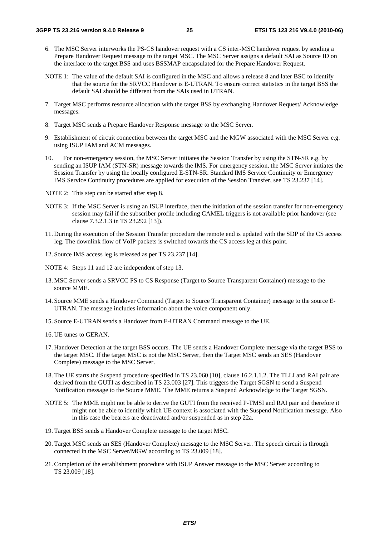- 6. The MSC Server interworks the PS-CS handover request with a CS inter-MSC handover request by sending a Prepare Handover Request message to the target MSC. The MSC Server assigns a default SAI as Source ID on the interface to the target BSS and uses BSSMAP encapsulated for the Prepare Handover Request.
- NOTE 1: The value of the default SAI is configured in the MSC and allows a release 8 and later BSC to identify that the source for the SRVCC Handover is E-UTRAN. To ensure correct statistics in the target BSS the default SAI should be different from the SAIs used in UTRAN.
- 7. Target MSC performs resource allocation with the target BSS by exchanging Handover Request/ Acknowledge messages.
- 8. Target MSC sends a Prepare Handover Response message to the MSC Server.
- 9. Establishment of circuit connection between the target MSC and the MGW associated with the MSC Server e.g. using ISUP IAM and ACM messages.
- 10. For non-emergency session, the MSC Server initiates the Session Transfer by using the STN-SR e.g. by sending an ISUP IAM (STN-SR) message towards the IMS. For emergency session, the MSC Server initiates the Session Transfer by using the locally configured E-STN-SR. Standard IMS Service Continuity or Emergency IMS Service Continuity procedures are applied for execution of the Session Transfer, see TS 23.237 [14].
- NOTE 2: This step can be started after step 8.
- NOTE 3: If the MSC Server is using an ISUP interface, then the initiation of the session transfer for non-emergency session may fail if the subscriber profile including CAMEL triggers is not available prior handover (see clause 7.3.2.1.3 in TS 23.292 [13]).
- 11. During the execution of the Session Transfer procedure the remote end is updated with the SDP of the CS access leg. The downlink flow of VoIP packets is switched towards the CS access leg at this point.
- 12. Source IMS access leg is released as per TS 23.237 [14].
- NOTE 4: Steps 11 and 12 are independent of step 13.
- 13. MSC Server sends a SRVCC PS to CS Response (Target to Source Transparent Container) message to the source MME.
- 14. Source MME sends a Handover Command (Target to Source Transparent Container) message to the source E-UTRAN. The message includes information about the voice component only.
- 15. Source E-UTRAN sends a Handover from E-UTRAN Command message to the UE.
- 16. UE tunes to GERAN.
- 17. Handover Detection at the target BSS occurs. The UE sends a Handover Complete message via the target BSS to the target MSC. If the target MSC is not the MSC Server, then the Target MSC sends an SES (Handover Complete) message to the MSC Server.
- 18. The UE starts the Suspend procedure specified in TS 23.060 [10], clause 16.2.1.1.2. The TLLI and RAI pair are derived from the GUTI as described in TS 23.003 [27]. This triggers the Target SGSN to send a Suspend Notification message to the Source MME. The MME returns a Suspend Acknowledge to the Target SGSN.
- NOTE 5: The MME might not be able to derive the GUTI from the received P-TMSI and RAI pair and therefore it might not be able to identify which UE context is associated with the Suspend Notification message. Also in this case the bearers are deactivated and/or suspended as in step 22a.
- 19. Target BSS sends a Handover Complete message to the target MSC.
- 20. Target MSC sends an SES (Handover Complete) message to the MSC Server. The speech circuit is through connected in the MSC Server/MGW according to TS 23.009 [18].
- 21. Completion of the establishment procedure with ISUP Answer message to the MSC Server according to TS 23.009 [18].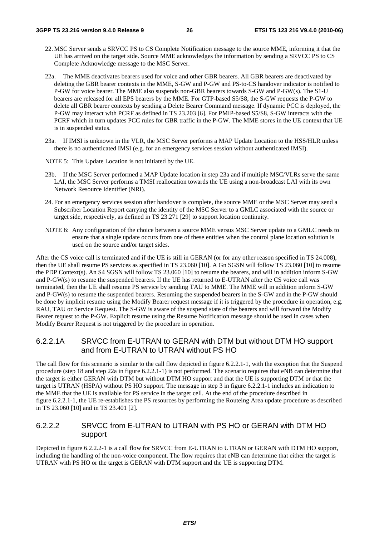- 22. MSC Server sends a SRVCC PS to CS Complete Notification message to the source MME, informing it that the UE has arrived on the target side. Source MME acknowledges the information by sending a SRVCC PS to CS Complete Acknowledge message to the MSC Server.
- 22a. The MME deactivates bearers used for voice and other GBR bearers. All GBR bearers are deactivated by deleting the GBR bearer contexts in the MME, S-GW and P-GW and PS-to-CS handover indicator is notified to P-GW for voice bearer. The MME also suspends non-GBR bearers towards S-GW and P-GW(s). The S1-U bearers are released for all EPS bearers by the MME. For GTP-based S5/S8, the S-GW requests the P-GW to delete all GBR bearer contexts by sending a Delete Bearer Command message. If dynamic PCC is deployed, the P-GW may interact with PCRF as defined in TS 23.203 [6]. For PMIP-based S5/S8, S-GW interacts with the PCRF which in turn updates PCC rules for GBR traffic in the P-GW. The MME stores in the UE context that UE is in suspended status.
- 23a. If IMSI is unknown in the VLR, the MSC Server performs a MAP Update Location to the HSS/HLR unless there is no authenticated IMSI (e.g. for an emergency services session without authenticated IMSI).
- NOTE 5: This Update Location is not initiated by the UE.
- 23b. If the MSC Server performed a MAP Update location in step 23a and if multiple MSC/VLRs serve the same LAI, the MSC Server performs a TMSI reallocation towards the UE using a non-broadcast LAI with its own Network Resource Identifier (NRI).
- 24. For an emergency services session after handover is complete, the source MME or the MSC Server may send a Subscriber Location Report carrying the identity of the MSC Server to a GMLC associated with the source or target side, respectively, as defined in TS 23.271 [29] to support location continuity.
- NOTE 6: Any configuration of the choice between a source MME versus MSC Server update to a GMLC needs to ensure that a single update occurs from one of these entities when the control plane location solution is used on the source and/or target sides.

After the CS voice call is terminated and if the UE is still in GERAN (or for any other reason specified in TS 24.008), then the UE shall resume PS services as specified in TS 23.060 [10]. A Gn SGSN will follow TS 23.060 [10] to resume the PDP Context(s). An S4 SGSN will follow TS 23.060 [10] to resume the bearers, and will in addition inform S-GW and P-GW(s) to resume the suspended bearers. If the UE has returned to E-UTRAN after the CS voice call was terminated, then the UE shall resume PS service by sending TAU to MME. The MME will in addition inform S-GW and P-GW(s) to resume the suspended bearers. Resuming the suspended bearers in the S-GW and in the P-GW should be done by implicit resume using the Modify Bearer request message if it is triggered by the procedure in operation, e.g. RAU, TAU or Service Request. The S-GW is aware of the suspend state of the bearers and will forward the Modify Bearer request to the P-GW. Explicit resume using the Resume Notification message should be used in cases when Modify Bearer Request is not triggered by the procedure in operation.

#### 6.2.2.1A SRVCC from E-UTRAN to GERAN with DTM but without DTM HO support and from E-UTRAN to UTRAN without PS HO

The call flow for this scenario is similar to the call flow depicted in figure 6.2.2.1-1, with the exception that the Suspend procedure (step 18 and step 22a in figure 6.2.2.1-1) is not performed. The scenario requires that eNB can determine that the target is either GERAN with DTM but without DTM HO support and that the UE is supporting DTM or that the target is UTRAN (HSPA) without PS HO support. The message in step 3 in figure 6.2.2.1-1 includes an indication to the MME that the UE is available for PS service in the target cell. At the end of the procedure described in figure 6.2.2.1-1, the UE re-establishes the PS resources by performing the Routeing Area update procedure as described in TS 23.060 [10] and in TS 23.401 [2].

#### 6.2.2.2 SRVCC from E-UTRAN to UTRAN with PS HO or GERAN with DTM HO support

Depicted in figure 6.2.2.2-1 is a call flow for SRVCC from E-UTRAN to UTRAN or GERAN with DTM HO support, including the handling of the non-voice component. The flow requires that eNB can determine that either the target is UTRAN with PS HO or the target is GERAN with DTM support and the UE is supporting DTM.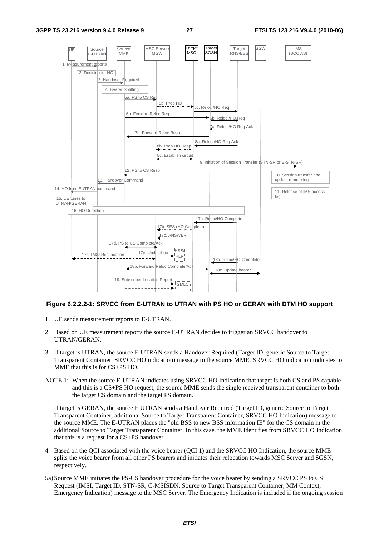

#### **Figure 6.2.2.2-1: SRVCC from E-UTRAN to UTRAN with PS HO or GERAN with DTM HO support**

- 1. UE sends measurement reports to E-UTRAN.
- 2. Based on UE measurement reports the source E-UTRAN decides to trigger an SRVCC handover to UTRAN/GERAN.
- 3. If target is UTRAN, the source E-UTRAN sends a Handover Required (Target ID, generic Source to Target Transparent Container, SRVCC HO indication) message to the source MME. SRVCC HO indication indicates to MME that this is for CS+PS HO.
- NOTE 1: When the source E-UTRAN indicates using SRVCC HO Indication that target is both CS and PS capable and this is a CS+PS HO request, the source MME sends the single received transparent container to both the target CS domain and the target PS domain.

 If target is GERAN, the source E UTRAN sends a Handover Required (Target ID, generic Source to Target Transparent Container, additional Source to Target Transparent Container, SRVCC HO Indication) message to the source MME. The E-UTRAN places the "old BSS to new BSS information IE" for the CS domain in the additional Source to Target Transparent Container. In this case, the MME identifies from SRVCC HO Indication that this is a request for a CS+PS handover.

- 4. Based on the QCI associated with the voice bearer (QCI 1) and the SRVCC HO Indication, the source MME splits the voice bearer from all other PS bearers and initiates their relocation towards MSC Server and SGSN, respectively.
- 5a) Source MME initiates the PS-CS handover procedure for the voice bearer by sending a SRVCC PS to CS Request (IMSI, Target ID, STN-SR, C-MSISDN, Source to Target Transparent Container, MM Context, Emergency Indication) message to the MSC Server. The Emergency Indication is included if the ongoing session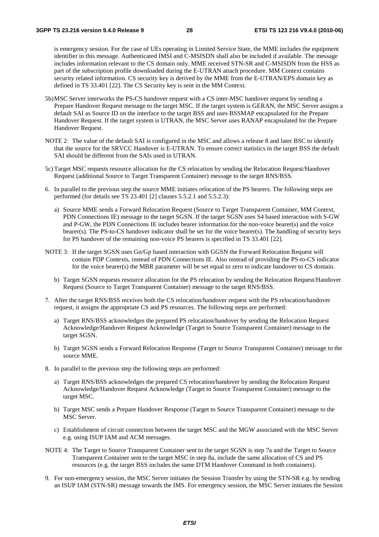is emergency session. For the case of UEs operating in Limited Service State, the MME includes the equipment identifier in this message. Authenticated IMSI and C-MSISDN shall also be included if available. The message includes information relevant to the CS domain only. MME received STN-SR and C-MSISDN from the HSS as part of the subscription profile downloaded during the E-UTRAN attach procedure. MM Context contains security related information. CS security key is derived by the MME from the E-UTRAN/EPS domain key as defined in TS 33.401 [22]. The CS Security key is sent in the MM Context.

- 5b) MSC Server interworks the PS-CS handover request with a CS inter-MSC handover request by sending a Prepare Handover Request message to the target MSC. If the target system is GERAN, the MSC Server assigns a default SAI as Source ID on the interface to the target BSS and uses BSSMAP encapsulated for the Prepare Handover Request. If the target system is UTRAN, the MSC Server uses RANAP encapsulated for the Prepare Handover Request.
- NOTE 2: The value of the default SAI is configured in the MSC and allows a release 8 and later BSC to identify that the source for the SRVCC Handover is E-UTRAN. To ensure correct statistics in the target BSS the default SAI should be different from the SAIs used in UTRAN.
- 5c) Target MSC requests resource allocation for the CS relocation by sending the Relocation Request/Handover Request (additional Source to Target Transparent Container) message to the target RNS/BSS.
- 6. In parallel to the previous step the source MME initiates relocation of the PS bearers. The following steps are performed (for details see TS 23.401 [2] clauses 5.5.2.1 and 5.5.2.3):
	- a) Source MME sends a Forward Relocation Request (Source to Target Transparent Container, MM Context, PDN Connections IE) message to the target SGSN. If the target SGSN uses S4 based interaction with S-GW and P-GW, the PDN Connections IE includes bearer information for the non-voice bearer(s) and the voice bearer(s). The PS-to-CS handover indicator shall be set for the voice bearer(s). The handling of security keys for PS handover of the remaining non-voice PS bearers is specified in TS 33.401 [22].
- NOTE 3: If the target SGSN uses Gn/Gp based interaction with GGSN the Forward Relocation Request will contain PDP Contexts, instead of PDN Connections IE. Also instead of providing the PS-to-CS indicator for the voice bearer(s) the MBR parameter will be set equal to zero to indicate handover to CS domain.
	- b) Target SGSN requests resource allocation for the PS relocation by sending the Relocation Request/Handover Request (Source to Target Transparent Container) message to the target RNS/BSS.
- 7. After the target RNS/BSS receives both the CS relocation/handover request with the PS relocation/handover request, it assigns the appropriate CS and PS resources. The following steps are performed:
	- a) Target RNS/BSS acknowledges the prepared PS relocation/handover by sending the Relocation Request Acknowledge/Handover Request Acknowledge (Target to Source Transparent Container) message to the target SGSN.
	- b) Target SGSN sends a Forward Relocation Response (Target to Source Transparent Container) message to the source MME.
- 8. In parallel to the previous step the following steps are performed:
	- a) Target RNS/BSS acknowledges the prepared CS relocation/handover by sending the Relocation Request Acknowledge/Handover Request Acknowledge (Target to Source Transparent Container) message to the target MSC.
	- b) Target MSC sends a Prepare Handover Response (Target to Source Transparent Container) message to the MSC Server.
	- c) Establishment of circuit connection between the target MSC and the MGW associated with the MSC Server e.g. using ISUP IAM and ACM messages.
- NOTE 4: The Target to Source Transparent Container sent to the target SGSN is step 7a and the Target to Source Transparent Container sent to the target MSC in step 8a, include the same allocation of CS and PS resources (e.g. the target BSS includes the same DTM Handover Command in both containers).
- 9. For non-emergency session, the MSC Server initiates the Session Transfer by using the STN-SR e.g. by sending an ISUP IAM (STN-SR) message towards the IMS. For emergency session, the MSC Server initiates the Session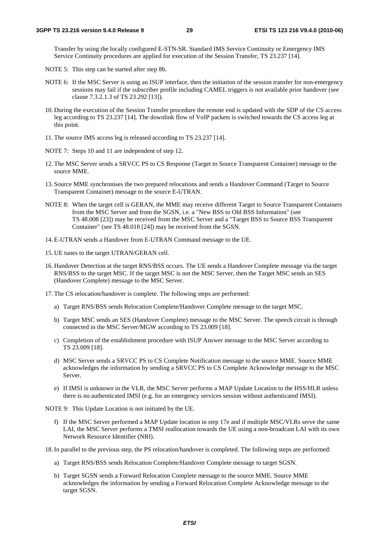Transfer by using the locally configured E-STN-SR. Standard IMS Service Continuity or Emergency IMS Service Continuity procedures are applied for execution of the Session Transfer, TS 23.237 [14].

- NOTE 5: This step can be started after step 8b.
- NOTE 6: If the MSC Server is using an ISUP interface, then the initiation of the session transfer for non-emergency sessions may fail if the subscriber profile including CAMEL triggers is not available prior handover (see clause 7.3.2.1.3 of TS 23.292 [13]).
- 10. During the execution of the Session Transfer procedure the remote end is updated with the SDP of the CS access leg according to TS 23.237 [14]. The downlink flow of VoIP packets is switched towards the CS access leg at this point.
- 11. The source IMS access leg is released according to TS 23.237 [14].
- NOTE 7: Steps 10 and 11 are independent of step 12.
- 12. The MSC Server sends a SRVCC PS to CS Response (Target to Source Transparent Container) message to the source MME.
- 13. Source MME synchronises the two prepared relocations and sends a Handover Command (Target to Source Transparent Container) message to the source E-UTRAN.
- NOTE 8: When the target cell is GERAN, the MME may receive different Target to Source Transparent Containers from the MSC Server and from the SGSN, i.e. a "New BSS to Old BSS Information" (see TS 48.008 [23]) may be received from the MSC Server and a "Target BSS to Source BSS Transparent Container" (see TS 48.018 [24]) may be received from the SGSN.
- 14. E-UTRAN sends a Handover from E-UTRAN Command message to the UE.
- 15. UE tunes to the target UTRAN/GERAN cell.
- 16. Handover Detection at the target RNS/BSS occurs. The UE sends a Handover Complete message via the target RNS/BSS to the target MSC. If the target MSC is not the MSC Server, then the Target MSC sends an SES (Handover Complete) message to the MSC Server.
- 17. The CS relocation/handover is complete. The following steps are performed:
	- a) Target RNS/BSS sends Relocation Complete/Handover Complete message to the target MSC.
	- b) Target MSC sends an SES (Handover Complete) message to the MSC Server. The speech circuit is through connected in the MSC Server/MGW according to TS 23.009 [18].
	- c) Completion of the establishment procedure with ISUP Answer message to the MSC Server according to TS 23.009 [18].
	- d) MSC Server sends a SRVCC PS to CS Complete Notification message to the source MME. Source MME acknowledges the information by sending a SRVCC PS to CS Complete Acknowledge message to the MSC Server.
	- e) If IMSI is unknown in the VLR, the MSC Server performs a MAP Update Location to the HSS/HLR unless there is no authenticated IMSI (e.g. for an emergency services session without authenticated IMSI).

NOTE 9: This Update Location is not initiated by the UE.

f) If the MSC Server performed a MAP Update location in step 17e and if multiple MSC/VLRs serve the same LAI, the MSC Server performs a TMSI reallocation towards the UE using a non-broadcast LAI with its own Network Resource Identifier (NRI).

18. In parallel to the previous step, the PS relocation/handover is completed. The following steps are performed:

- a) Target RNS/BSS sends Relocation Complete/Handover Complete message to target SGSN.
- b) Target SGSN sends a Forward Relocation Complete message to the source MME. Source MME acknowledges the information by sending a Forward Relocation Complete Acknowledge message to the target SGSN.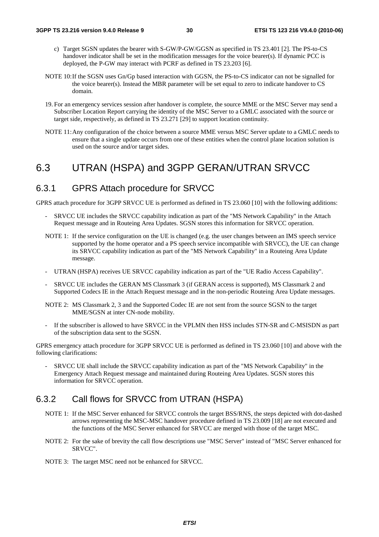- c) Target SGSN updates the bearer with S-GW/P-GW/GGSN as specified in TS 23.401 [2]. The PS-to-CS handover indicator shall be set in the modification messages for the voice bearer(s). If dynamic PCC is deployed, the P-GW may interact with PCRF as defined in TS 23.203 [6].
- NOTE 10: If the SGSN uses Gn/Gp based interaction with GGSN, the PS-to-CS indicator can not be signalled for the voice bearer(s). Instead the MBR parameter will be set equal to zero to indicate handover to CS domain.
- 19. For an emergency services session after handover is complete, the source MME or the MSC Server may send a Subscriber Location Report carrying the identity of the MSC Server to a GMLC associated with the source or target side, respectively, as defined in TS 23.271 [29] to support location continuity.
- NOTE 11: Any configuration of the choice between a source MME versus MSC Server update to a GMLC needs to ensure that a single update occurs from one of these entities when the control plane location solution is used on the source and/or target sides.

### 6.3 UTRAN (HSPA) and 3GPP GERAN/UTRAN SRVCC

#### 6.3.1 GPRS Attach procedure for SRVCC

GPRS attach procedure for 3GPP SRVCC UE is performed as defined in TS 23.060 [10] with the following additions:

- SRVCC UE includes the SRVCC capability indication as part of the "MS Network Capability" in the Attach Request message and in Routeing Area Updates. SGSN stores this information for SRVCC operation.
- NOTE 1: If the service configuration on the UE is changed (e.g. the user changes between an IMS speech service supported by the home operator and a PS speech service incompatible with SRVCC), the UE can change its SRVCC capability indication as part of the "MS Network Capability" in a Routeing Area Update message.
- UTRAN (HSPA) receives UE SRVCC capability indication as part of the "UE Radio Access Capability".
- SRVCC UE includes the GERAN MS Classmark 3 (if GERAN access is supported), MS Classmark 2 and Supported Codecs IE in the Attach Request message and in the non-periodic Routeing Area Update messages.
- NOTE 2: MS Classmark 2, 3 and the Supported Codec IE are not sent from the source SGSN to the target MME/SGSN at inter CN-node mobility.
- If the subscriber is allowed to have SRVCC in the VPLMN then HSS includes STN-SR and C-MSISDN as part of the subscription data sent to the SGSN.

GPRS emergency attach procedure for 3GPP SRVCC UE is performed as defined in TS 23.060 [10] and above with the following clarifications:

SRVCC UE shall include the SRVCC capability indication as part of the "MS Network Capability" in the Emergency Attach Request message and maintained during Routeing Area Updates. SGSN stores this information for SRVCC operation.

#### 6.3.2 Call flows for SRVCC from UTRAN (HSPA)

- NOTE 1: If the MSC Server enhanced for SRVCC controls the target BSS/RNS, the steps depicted with dot-dashed arrows representing the MSC-MSC handover procedure defined in TS 23.009 [18] are not executed and the functions of the MSC Server enhanced for SRVCC are merged with those of the target MSC.
- NOTE 2: For the sake of brevity the call flow descriptions use "MSC Server" instead of "MSC Server enhanced for SRVCC".
- NOTE 3: The target MSC need not be enhanced for SRVCC.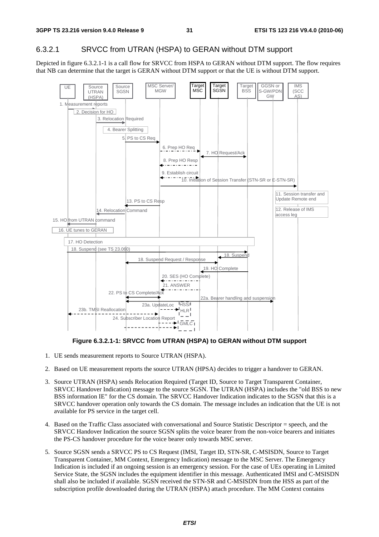#### 6.3.2.1 SRVCC from UTRAN (HSPA) to GERAN without DTM support

Depicted in figure 6.3.2.1-1 is a call flow for SRVCC from HSPA to GERAN without DTM support. The flow requires that NB can determine that the target is GERAN without DTM support or that the UE is without DTM support.



**Figure 6.3.2.1-1: SRVCC from UTRAN (HSPA) to GERAN without DTM support** 

- 1. UE sends measurement reports to Source UTRAN (HSPA).
- 2. Based on UE measurement reports the source UTRAN (HPSA) decides to trigger a handover to GERAN.
- 3. Source UTRAN (HSPA) sends Relocation Required (Target ID, Source to Target Transparent Container, SRVCC Handover Indication) message to the source SGSN. The UTRAN (HSPA) includes the "old BSS to new BSS information IE" for the CS domain. The SRVCC Handover Indication indicates to the SGSN that this is a SRVCC handover operation only towards the CS domain. The message includes an indication that the UE is not available for PS service in the target cell.
- 4. Based on the Traffic Class associated with conversational and Source Statistic Descriptor = speech, and the SRVCC Handover Indication the source SGSN splits the voice bearer from the non-voice bearers and initiates the PS-CS handover procedure for the voice bearer only towards MSC server.
- 5. Source SGSN sends a SRVCC PS to CS Request (IMSI, Target ID, STN-SR, C-MSISDN, Source to Target Transparent Container, MM Context, Emergency Indication) message to the MSC Server. The Emergency Indication is included if an ongoing session is an emergency session. For the case of UEs operating in Limited Service State, the SGSN includes the equipment identifier in this message. Authenticated IMSI and C-MSISDN shall also be included if available. SGSN received the STN-SR and C-MSISDN from the HSS as part of the subscription profile downloaded during the UTRAN (HSPA) attach procedure. The MM Context contains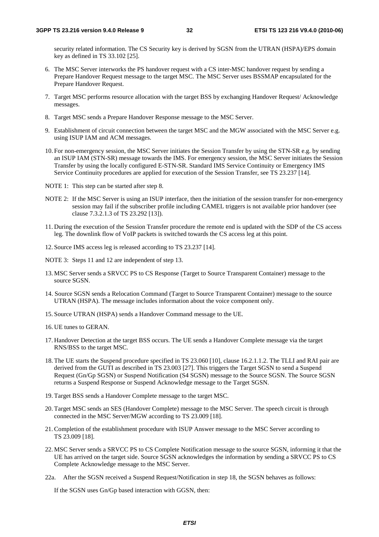security related information. The CS Security key is derived by SGSN from the UTRAN (HSPA)/EPS domain key as defined in TS 33.102 [25].

- 6. The MSC Server interworks the PS handover request with a CS inter-MSC handover request by sending a Prepare Handover Request message to the target MSC. The MSC Server uses BSSMAP encapsulated for the Prepare Handover Request.
- 7. Target MSC performs resource allocation with the target BSS by exchanging Handover Request/ Acknowledge messages.
- 8. Target MSC sends a Prepare Handover Response message to the MSC Server.
- 9. Establishment of circuit connection between the target MSC and the MGW associated with the MSC Server e.g. using ISUP IAM and ACM messages.
- 10. For non-emergency session, the MSC Server initiates the Session Transfer by using the STN-SR e.g. by sending an ISUP IAM (STN-SR) message towards the IMS. For emergency session, the MSC Server initiates the Session Transfer by using the locally configured E-STN-SR. Standard IMS Service Continuity or Emergency IMS Service Continuity procedures are applied for execution of the Session Transfer, see TS 23.237 [14].
- NOTE 1: This step can be started after step 8.
- NOTE 2: If the MSC Server is using an ISUP interface, then the initiation of the session transfer for non-emergency session may fail if the subscriber profile including CAMEL triggers is not available prior handover (see clause 7.3.2.1.3 of TS 23.292 [13]).
- 11. During the execution of the Session Transfer procedure the remote end is updated with the SDP of the CS access leg. The downlink flow of VoIP packets is switched towards the CS access leg at this point.
- 12. Source IMS access leg is released according to TS 23.237 [14].

NOTE 3: Steps 11 and 12 are independent of step 13.

- 13. MSC Server sends a SRVCC PS to CS Response (Target to Source Transparent Container) message to the source SGSN.
- 14. Source SGSN sends a Relocation Command (Target to Source Transparent Container) message to the source UTRAN (HSPA). The message includes information about the voice component only.
- 15. Source UTRAN (HSPA) sends a Handover Command message to the UE.
- 16. UE tunes to GERAN.
- 17. Handover Detection at the target BSS occurs. The UE sends a Handover Complete message via the target RNS/BSS to the target MSC.
- 18. The UE starts the Suspend procedure specified in TS 23.060 [10], clause 16.2.1.1.2. The TLLI and RAI pair are derived from the GUTI as described in TS 23.003 [27]. This triggers the Target SGSN to send a Suspend Request (Gn/Gp SGSN) or Suspend Notification (S4 SGSN) message to the Source SGSN. The Source SGSN returns a Suspend Response or Suspend Acknowledge message to the Target SGSN.
- 19. Target BSS sends a Handover Complete message to the target MSC.
- 20. Target MSC sends an SES (Handover Complete) message to the MSC Server. The speech circuit is through connected in the MSC Server/MGW according to TS 23.009 [18].
- 21. Completion of the establishment procedure with ISUP Answer message to the MSC Server according to TS 23.009 [18].
- 22. MSC Server sends a SRVCC PS to CS Complete Notification message to the source SGSN, informing it that the UE has arrived on the target side. Source SGSN acknowledges the information by sending a SRVCC PS to CS Complete Acknowledge message to the MSC Server.
- 22a. After the SGSN received a Suspend Request/Notification in step 18, the SGSN behaves as follows:

If the SGSN uses Gn/Gp based interaction with GGSN, then: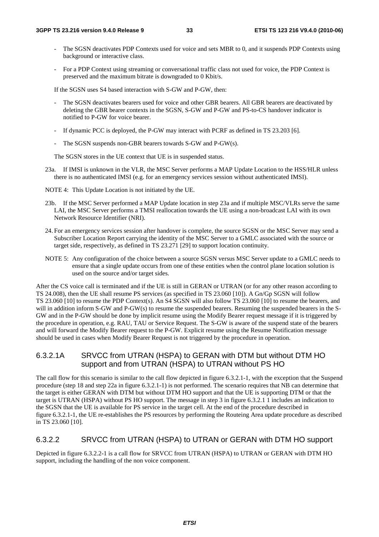- The SGSN deactivates PDP Contexts used for voice and sets MBR to 0, and it suspends PDP Contexts using background or interactive class.
- For a PDP Context using streaming or conversational traffic class not used for voice, the PDP Context is preserved and the maximum bitrate is downgraded to 0 Kbit/s.

If the SGSN uses S4 based interaction with S-GW and P-GW, then:

- The SGSN deactivates bearers used for voice and other GBR bearers. All GBR bearers are deactivated by deleting the GBR bearer contexts in the SGSN, S-GW and P-GW and PS-to-CS handover indicator is notified to P-GW for voice bearer.
- If dynamic PCC is deployed, the P-GW may interact with PCRF as defined in TS 23.203 [6].
- The SGSN suspends non-GBR bearers towards S-GW and P-GW(s).

The SGSN stores in the UE context that UE is in suspended status.

- 23a. If IMSI is unknown in the VLR, the MSC Server performs a MAP Update Location to the HSS/HLR unless there is no authenticated IMSI (e.g. for an emergency services session without authenticated IMSI).
- NOTE 4: This Update Location is not initiated by the UE.
- 23b. If the MSC Server performed a MAP Update location in step 23a and if multiple MSC/VLRs serve the same LAI, the MSC Server performs a TMSI reallocation towards the UE using a non-broadcast LAI with its own Network Resource Identifier (NRI).
- 24. For an emergency services session after handover is complete, the source SGSN or the MSC Server may send a Subscriber Location Report carrying the identity of the MSC Server to a GMLC associated with the source or target side, respectively, as defined in TS 23.271 [29] to support location continuity.
- NOTE 5: Any configuration of the choice between a source SGSN versus MSC Server update to a GMLC needs to ensure that a single update occurs from one of these entities when the control plane location solution is used on the source and/or target sides.

After the CS voice call is terminated and if the UE is still in GERAN or UTRAN (or for any other reason according to TS 24.008), then the UE shall resume PS services (as specified in TS 23.060 [10]). A Gn/Gp SGSN will follow TS 23.060 [10] to resume the PDP Context(s). An S4 SGSN will also follow TS 23.060 [10] to resume the bearers, and will in addition inform S-GW and P-GW(s) to resume the suspended bearers. Resuming the suspended bearers in the S-GW and in the P-GW should be done by implicit resume using the Modify Bearer request message if it is triggered by the procedure in operation, e.g. RAU, TAU or Service Request. The S-GW is aware of the suspend state of the bearers and will forward the Modify Bearer request to the P-GW. Explicit resume using the Resume Notification message should be used in cases when Modify Bearer Request is not triggered by the procedure in operation.

#### 6.3.2.1A SRVCC from UTRAN (HSPA) to GERAN with DTM but without DTM HO support and from UTRAN (HSPA) to UTRAN without PS HO

The call flow for this scenario is similar to the call flow depicted in figure 6.3.2.1-1, with the exception that the Suspend procedure (step 18 and step 22a in figure 6.3.2.1-1) is not performed. The scenario requires that NB can determine that the target is either GERAN with DTM but without DTM HO support and that the UE is supporting DTM or that the target is UTRAN (HSPA) without PS HO support. The message in step 3 in figure 6.3.2.1 1 includes an indication to the SGSN that the UE is available for PS service in the target cell. At the end of the procedure described in figure 6.3.2.1-1, the UE re-establishes the PS resources by performing the Routeing Area update procedure as described in TS 23.060 [10].

#### 6.3.2.2 SRVCC from UTRAN (HSPA) to UTRAN or GERAN with DTM HO support

Depicted in figure 6.3.2.2-1 is a call flow for SRVCC from UTRAN (HSPA) to UTRAN or GERAN with DTM HO support, including the handling of the non voice component.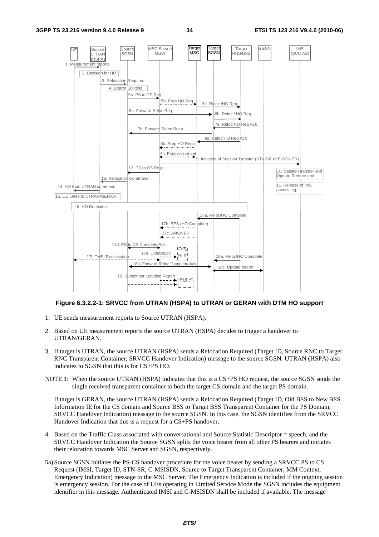

#### **Figure 6.3.2.2-1: SRVCC from UTRAN (HSPA) to UTRAN or GERAN with DTM HO support**

- 1. UE sends measurement reports to Source UTRAN (HSPA).
- 2. Based on UE measurement reports the source UTRAN (HSPA) decides to trigger a handover to UTRAN/GERAN.
- 3. If target is UTRAN, the source UTRAN (HSPA) sends a Relocation Required (Target ID, Source RNC to Target RNC Transparent Container, SRVCC Handover Indication) message to the source SGSN. UTRAN (HSPA) also indicates to SGSN that this is for CS+PS HO.
- NOTE 1: When the source UTRAN (HSPA) indicates that this is a CS+PS HO request, the source SGSN sends the single received transparent container to both the target CS domain and the target PS domain.

 If target is GERAN, the source UTRAN (HSPA) sends a Relocation Required (Target ID, Old BSS to New BSS Information IE for the CS domain and Source BSS to Target BSS Transparent Container for the PS Domain, SRVCC Handover Indication) message to the source SGSN. In this case, the SGSN identifies from the SRVCC Handover Indication that this is a request for a CS+PS handover.

- 4. Based on the Traffic Class associated with conversational and Source Statistic Descriptor = speech, and the SRVCC Handover Indication the Source SGSN splits the voice bearer from all other PS bearers and initiates their relocation towards MSC Server and SGSN, respectively.
- 5a) Source SGSN initiates the PS-CS handover procedure for the voice bearer by sending a SRVCC PS to CS Request (IMSI, Target ID, STN-SR, C-MSISDN, Source to Target Transparent Container, MM Context, Emergency Indication) message to the MSC Server. The Emergency Indication is included if the ongoing session is emergency session. For the case of UEs operating in Limited Service Mode the SGSN includes the equipment identifier in this message. Authenticated IMSI and C-MSISDN shall be included if available. The message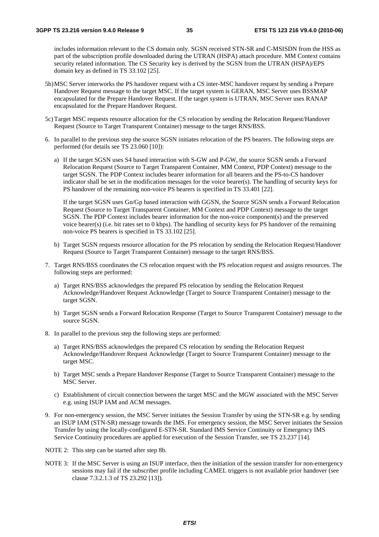includes information relevant to the CS domain only. SGSN received STN-SR and C-MSISDN from the HSS as part of the subscription profile downloaded during the UTRAN (HSPA) attach procedure. MM Context contains security related information. The CS Security key is derived by the SGSN from the UTRAN (HSPA)/EPS domain key as defined in TS 33.102 [25].

- 5b) MSC Server interworks the PS handover request with a CS inter-MSC handover request by sending a Prepare Handover Request message to the target MSC. If the target system is GERAN, MSC Server uses BSSMAP encapsulated for the Prepare Handover Request. If the target system is UTRAN, MSC Server uses RANAP encapsulated for the Prepare Handover Request.
- 5c) Target MSC requests resource allocation for the CS relocation by sending the Relocation Request/Handover Request (Source to Target Transparent Container) message to the target RNS/BSS.
- 6. In parallel to the previous step the source SGSN initiates relocation of the PS bearers. The following steps are performed (for details see TS 23.060 [10]):
	- a) If the target SGSN uses S4 based interaction with S-GW and P-GW, the source SGSN sends a Forward Relocation Request (Source to Target Transparent Container, MM Context, PDP Context) message to the target SGSN. The PDP Context includes bearer information for all bearers and the PS-to-CS handover indicator shall be set in the modification messages for the voice bearer(s). The handling of security keys for PS handover of the remaining non-voice PS bearers is specified in TS 33.401 [22].

 If the target SGSN uses Gn/Gp based interaction with GGSN, the Source SGSN sends a Forward Relocation Request (Source to Target Transparent Container, MM Context and PDP Context) message to the target SGSN. The PDP Context includes bearer information for the non-voice component(s) and the preserved voice bearer(s) (i.e. bit rates set to 0 kbps). The handling of security keys for PS handover of the remaining non-voice PS bearers is specified in TS 33.102 [25].

- b) Target SGSN requests resource allocation for the PS relocation by sending the Relocation Request/Handover Request (Source to Target Transparent Container) message to the target RNS/BSS.
- 7. Target RNS/BSS coordinates the CS relocation request with the PS relocation request and assigns resources. The following steps are performed:
	- a) Target RNS/BSS acknowledges the prepared PS relocation by sending the Relocation Request Acknowledge/Handover Request Acknowledge (Target to Source Transparent Container) message to the target SGSN.
	- b) Target SGSN sends a Forward Relocation Response (Target to Source Transparent Container) message to the source SGSN.
- 8. In parallel to the previous step the following steps are performed:
	- a) Target RNS/BSS acknowledges the prepared CS relocation by sending the Relocation Request Acknowledge/Handover Request Acknowledge (Target to Source Transparent Container) message to the target MSC.
	- b) Target MSC sends a Prepare Handover Response (Target to Source Transparent Container) message to the MSC Server.
	- c) Establishment of circuit connection between the target MSC and the MGW associated with the MSC Server e.g. using ISUP IAM and ACM messages.
- 9. For non-emergency session, the MSC Server initiates the Session Transfer by using the STN-SR e.g. by sending an ISUP IAM (STN-SR) message towards the IMS. For emergency session, the MSC Server initiates the Session Transfer by using the locally-configured E-STN-SR. Standard IMS Service Continuity or Emergency IMS Service Continuity procedures are applied for execution of the Session Transfer, see TS 23.237 [14].
- NOTE 2: This step can be started after step 8b.
- NOTE 3: If the MSC Server is using an ISUP interface, then the initiation of the session transfer for non-emergency sessions may fail if the subscriber profile including CAMEL triggers is not available prior handover (see clause 7.3.2.1.3 of TS 23.292 [13]).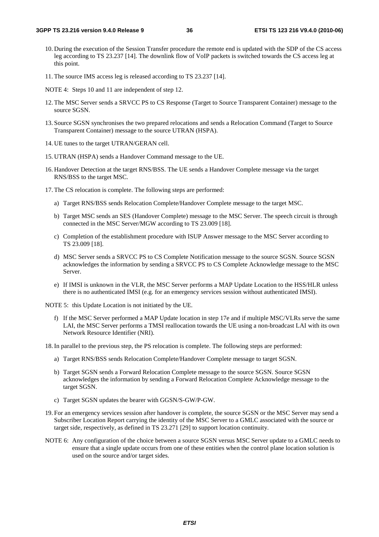- 10. During the execution of the Session Transfer procedure the remote end is updated with the SDP of the CS access leg according to TS 23.237 [14]. The downlink flow of VoIP packets is switched towards the CS access leg at this point.
- 11. The source IMS access leg is released according to TS 23.237 [14].
- NOTE 4: Steps 10 and 11 are independent of step 12.
- 12. The MSC Server sends a SRVCC PS to CS Response (Target to Source Transparent Container) message to the source SGSN.
- 13. Source SGSN synchronises the two prepared relocations and sends a Relocation Command (Target to Source Transparent Container) message to the source UTRAN (HSPA).
- 14. UE tunes to the target UTRAN/GERAN cell.
- 15. UTRAN (HSPA) sends a Handover Command message to the UE.
- 16. Handover Detection at the target RNS/BSS. The UE sends a Handover Complete message via the target RNS/BSS to the target MSC.
- 17. The CS relocation is complete. The following steps are performed:
	- a) Target RNS/BSS sends Relocation Complete/Handover Complete message to the target MSC.
	- b) Target MSC sends an SES (Handover Complete) message to the MSC Server. The speech circuit is through connected in the MSC Server/MGW according to TS 23.009 [18].
	- c) Completion of the establishment procedure with ISUP Answer message to the MSC Server according to TS 23.009 [18].
	- d) MSC Server sends a SRVCC PS to CS Complete Notification message to the source SGSN. Source SGSN acknowledges the information by sending a SRVCC PS to CS Complete Acknowledge message to the MSC Server.
	- e) If IMSI is unknown in the VLR, the MSC Server performs a MAP Update Location to the HSS/HLR unless there is no authenticated IMSI (e.g. for an emergency services session without authenticated IMSI).

NOTE 5: this Update Location is not initiated by the UE.

f) If the MSC Server performed a MAP Update location in step 17e and if multiple MSC/VLRs serve the same LAI, the MSC Server performs a TMSI reallocation towards the UE using a non-broadcast LAI with its own Network Resource Identifier (NRI).

18. In parallel to the previous step, the PS relocation is complete. The following steps are performed:

- a) Target RNS/BSS sends Relocation Complete/Handover Complete message to target SGSN.
- b) Target SGSN sends a Forward Relocation Complete message to the source SGSN. Source SGSN acknowledges the information by sending a Forward Relocation Complete Acknowledge message to the target SGSN.
- c) Target SGSN updates the bearer with GGSN/S-GW/P-GW.
- 19. For an emergency services session after handover is complete, the source SGSN or the MSC Server may send a Subscriber Location Report carrying the identity of the MSC Server to a GMLC associated with the source or target side, respectively, as defined in TS 23.271 [29] to support location continuity.
- NOTE 6: Any configuration of the choice between a source SGSN versus MSC Server update to a GMLC needs to ensure that a single update occurs from one of these entities when the control plane location solution is used on the source and/or target sides.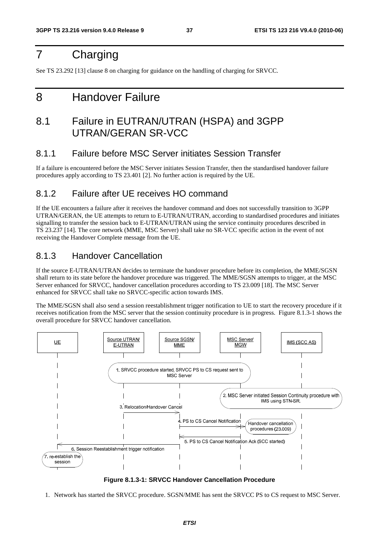### 7 Charging

See TS 23.292 [13] clause 8 on charging for guidance on the handling of charging for SRVCC.

### 8 Handover Failure

### 8.1 Failure in EUTRAN/UTRAN (HSPA) and 3GPP UTRAN/GERAN SR-VCC

#### 8.1.1 Failure before MSC Server initiates Session Transfer

If a failure is encountered before the MSC Server initiates Session Transfer, then the standardised handover failure procedures apply according to TS 23.401 [2]. No further action is required by the UE.

### 8.1.2 Failure after UE receives HO command

If the UE encounters a failure after it receives the handover command and does not successfully transition to 3GPP UTRAN/GERAN, the UE attempts to return to E-UTRAN/UTRAN, according to standardised procedures and initiates signalling to transfer the session back to E-UTRAN/UTRAN using the service continuity procedures described in TS 23.237 [14]. The core network (MME, MSC Server) shall take no SR-VCC specific action in the event of not receiving the Handover Complete message from the UE.

#### 8.1.3 Handover Cancellation

If the source E-UTRAN/UTRAN decides to terminate the handover procedure before its completion, the MME/SGSN shall return to its state before the handover procedure was triggered. The MME/SGSN attempts to trigger, at the MSC Server enhanced for SRVCC, handover cancellation procedures according to TS 23.009 [18]. The MSC Server enhanced for SRVCC shall take no SRVCC-specific action towards IMS.

The MME/SGSN shall also send a session reestablishment trigger notification to UE to start the recovery procedure if it receives notification from the MSC server that the session continuity procedure is in progress. Figure 8.1.3-1 shows the overall procedure for SRVCC handover cancellation.



**Figure 8.1.3-1: SRVCC Handover Cancellation Procedure** 

1. Network has started the SRVCC procedure. SGSN/MME has sent the SRVCC PS to CS request to MSC Server.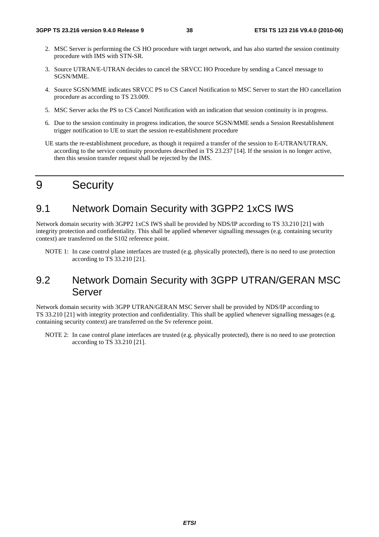- 2. MSC Server is performing the CS HO procedure with target network, and has also started the session continuity procedure with IMS with STN-SR.
- 3. Source UTRAN/E-UTRAN decides to cancel the SRVCC HO Procedure by sending a Cancel message to SGSN/MME.
- 4. Source SGSN/MME indicates SRVCC PS to CS Cancel Notification to MSC Server to start the HO cancellation procedure as according to TS 23.009.
- 5. MSC Server acks the PS to CS Cancel Notification with an indication that session continuity is in progress.
- 6. Due to the session continuity in progress indication, the source SGSN/MME sends a Session Reestablishment trigger notification to UE to start the session re-establishment procedure
- UE starts the re-establishment procedure, as though it required a transfer of the session to E-UTRAN/UTRAN, according to the service continuity procedures described in TS 23.237 [14]. If the session is no longer active, then this session transfer request shall be rejected by the IMS.

### 9 Security

### 9.1 Network Domain Security with 3GPP2 1xCS IWS

Network domain security with 3GPP2 1xCS IWS shall be provided by NDS/IP according to TS 33.210 [21] with integrity protection and confidentiality. This shall be applied whenever signalling messages (e.g. containing security context) are transferred on the S102 reference point.

NOTE 1: In case control plane interfaces are trusted (e.g. physically protected), there is no need to use protection according to TS 33.210 [21].

### 9.2 Network Domain Security with 3GPP UTRAN/GERAN MSC Server

Network domain security with 3GPP UTRAN/GERAN MSC Server shall be provided by NDS/IP according to TS 33.210 [21] with integrity protection and confidentiality. This shall be applied whenever signalling messages (e.g. containing security context) are transferred on the Sv reference point.

NOTE 2: In case control plane interfaces are trusted (e.g. physically protected), there is no need to use protection according to TS 33.210 [21].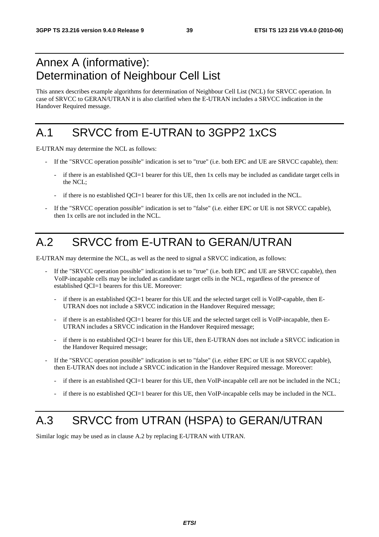### Annex A (informative): Determination of Neighbour Cell List

This annex describes example algorithms for determination of Neighbour Cell List (NCL) for SRVCC operation. In case of SRVCC to GERAN/UTRAN it is also clarified when the E-UTRAN includes a SRVCC indication in the Handover Required message.

### A.1 SRVCC from E-UTRAN to 3GPP2 1xCS

E-UTRAN may determine the NCL as follows:

- If the "SRVCC operation possible" indication is set to "true" (i.e. both EPC and UE are SRVCC capable), then:
	- if there is an established QCI=1 bearer for this UE, then 1x cells may be included as candidate target cells in the NCL;
	- if there is no established QCI=1 bearer for this UE, then 1x cells are not included in the NCL.
- If the "SRVCC operation possible" indication is set to "false" (i.e. either EPC or UE is not SRVCC capable), then 1x cells are not included in the NCL.

## A.2 SRVCC from E-UTRAN to GERAN/UTRAN

E-UTRAN may determine the NCL, as well as the need to signal a SRVCC indication, as follows:

- If the "SRVCC operation possible" indication is set to "true" (i.e. both EPC and UE are SRVCC capable), then VoIP-incapable cells may be included as candidate target cells in the NCL, regardless of the presence of established QCI=1 bearers for this UE. Moreover:
	- if there is an established QCI=1 bearer for this UE and the selected target cell is VoIP-capable, then E-UTRAN does not include a SRVCC indication in the Handover Required message;
	- if there is an established QCI=1 bearer for this UE and the selected target cell is VoIP-incapable, then E-UTRAN includes a SRVCC indication in the Handover Required message;
	- if there is no established OCI=1 bearer for this UE, then E-UTRAN does not include a SRVCC indication in the Handover Required message;
- If the "SRVCC operation possible" indication is set to "false" (i.e. either EPC or UE is not SRVCC capable), then E-UTRAN does not include a SRVCC indication in the Handover Required message. Moreover:
	- if there is an established QCI=1 bearer for this UE, then VoIP-incapable cell are not be included in the NCL;
	- if there is no established QCI=1 bearer for this UE, then VoIP-incapable cells may be included in the NCL.

### A.3 SRVCC from UTRAN (HSPA) to GERAN/UTRAN

Similar logic may be used as in clause A.2 by replacing E-UTRAN with UTRAN.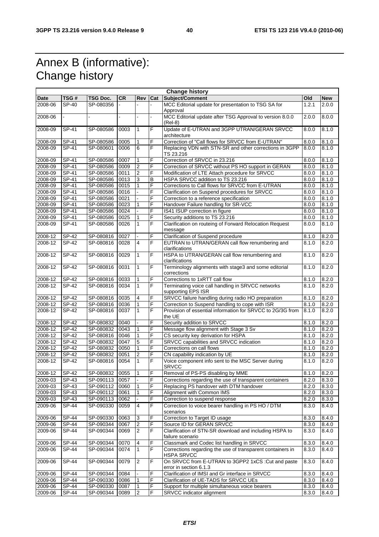### Annex B (informative): Change history

| <b>Change history</b> |              |           |                |                  |                |                                                                                 |       |            |
|-----------------------|--------------|-----------|----------------|------------------|----------------|---------------------------------------------------------------------------------|-------|------------|
| Date                  | TSG #        | TSG Doc.  | <b>CR</b>      | Rev              | Cat            | Subject/Comment                                                                 | Old   | <b>New</b> |
| 2008-06               | <b>SP-40</b> | SP-080356 |                |                  |                | MCC Editorial update for presentation to TSG SA for<br>Approval                 | 1.2.1 | 2.0.0      |
| 2008-06               |              |           | $\overline{a}$ | $\overline{a}$   |                | MCC Editorial update after TSG Approval to version 8.0.0<br>(Rel-8)             | 2.0.0 | 8.0.0      |
| 2008-09               | SP-41        | SP-080586 | 0003           | $\mathbf{1}$     | F              | Update of E-UTRAN and 3GPP UTRAN/GERAN SRVCC<br>architecture                    | 8.0.0 | 8.1.0      |
| 2008-09               | SP-41        | SP-080586 | 0005           | $\mathbf{1}$     | F              | Correction of "Call flows for SRVCC from E-UTRAN"                               | 8.0.0 | 8.1.0      |
| 2008-09               | SP-41        | SP-080601 | 0006           | 6                | F              | Replacing VDN with STN-SR and other corrections in 3GPP<br>TS 23.216            | 8.0.0 | 8.1.0      |
| 2008-09               | SP-41        | SP-080586 | 0007           | 1                | F              | Correction of SRVCC in 23.216                                                   | 8.0.0 | 8.1.0      |
| 2008-09               | SP-41        | SP-080586 | 0009           | $\overline{2}$   | F              | Correction of SRVCC without PS HO support in GERAN                              | 8.0.0 | 8.1.0      |
| 2008-09               | $SP-41$      | SP-080586 | 0011           | $\overline{2}$   | F              | Modification of LTE Attach procedure for SRVCC                                  | 8.0.0 | 8.1.0      |
| 2008-09               | SP-41        | SP-080586 | 0013           | 3                | B              | HSPA SRVCC addition to TS 23.216                                                | 8.0.0 | 8.1.0      |
| 2008-09               | SP-41        | SP-080586 | 0015           | 1                | F              | Corrections to Call flows for SRVCC from E-UTRAN                                | 8.0.0 | 8.1.0      |
| 2008-09               | SP-41        | SP-080586 | 0016           |                  | F              | Clarification on Suspend procedures for SRVCC                                   | 8.0.0 | 8.1.0      |
| 2008-09               | SP-41        | SP-080586 | 0021           |                  | F              | Correction to a reference specification                                         | 8.0.0 | 8.1.0      |
| 2008-09               | SP-41        | SP-080586 | 0023           | 1                | F              | Handover Failure handling for SR-VCC                                            | 8.0.0 | 8.1.0      |
| 2008-09               | <b>SP-41</b> | SP-080586 | 0024           |                  | F              | IS41 ISUP correction in figure                                                  | 8.0.0 | 8.1.0      |
| 2008-09               | <b>SP-41</b> | SP-080586 | 0025           | 1                | F              | Security additions to TS 23.216                                                 | 8.0.0 | 8.1.0      |
| 2008-09               | SP-41        | SP-080586 | 0026           | $\mathbf{1}$     | $\overline{F}$ | Clarification on routeing of Forward Relocation Request                         | 8.0.0 | 8.1.0      |
|                       |              |           |                |                  |                | message                                                                         |       |            |
| 2008-12               | <b>SP-42</b> | SP-080816 | 0027           |                  | F              | Clarification of Suspend procedure                                              | 8.1.0 | 8.2.0      |
| 2008-12               | SP-42        | SP-080816 | 0028           | 4                | F              | EUTRAN to UTRAN/GERAN call flow renumbering and<br>clarifications               | 8.1.0 | 8.2.0      |
| 2008-12               | $SP-42$      | SP-080816 | 0029           | $\mathbf{1}$     | F              | HSPA to UTRAN/GERAN call flow renumbering and<br>clarifications                 | 8.1.0 | 8.2.0      |
| 2008-12               | $SP-42$      | SP-080816 | 0031           | $\mathbf{1}$     | F              | Terminology alignments with stage3 and some editorial<br>corrections            | 8.1.0 | 8.2.0      |
| 2008-12               | <b>SP-42</b> | SP-080816 | 0033           | $\mathbf{1}$     | $\overline{F}$ | Corrections to 1xRTT call flow                                                  | 8.1.0 | 8.2.0      |
| 2008-12               | SP-42        | SP-080816 | 0034           | $\mathbf{1}$     | F              | Terminating voice call handling in SRVCC networks<br>supporting EPS ISR         | 8.1.0 | 8.2.0      |
| 2008-12               | <b>SP-42</b> | SP-080816 | 0035           | 4                | F              | SRVCC failure handling during radio HO preparation                              | 8.1.0 | 8.2.0      |
| 2008-12               | <b>SP-42</b> | SP-080816 | 0036           | 1                | F              | Correction to Suspend handling to cope with ISR                                 | 8.1.0 | 8.2.0      |
| 2008-12               | SP-42        | SP-080816 | 0037           | 1                | F              | Provision of essential information for SRVCC to 2G/3G from<br>the UE            | 8.1.0 | 8.2.0      |
| 2008-12               | <b>SP-42</b> | SP-080832 | 0040           |                  | F              | Security addition to SRVCC                                                      | 8.1.0 | 8.2.0      |
| 2008-12               | <b>SP-42</b> | SP-080832 | 0043           | $\mathbf{1}$     | F              | Message flow alignment with Stage 3 Sv                                          | 8.1.0 | 8.2.0      |
| 2008-12               | <b>SP-42</b> | SP-080816 | 0046           | 1                | F              | CS security key derivation for HSPA                                             | 8.1.0 | 8.2.0      |
| 2008-12               | <b>SP-42</b> | SP-080832 | 0047           | 5                | F              | SRVCC capabilities and SRVCC indication                                         | 8.1.0 | 8.2.0      |
| 2008-12               | <b>SP-42</b> | SP-080832 | 0050           | $\mathbf{1}$     | F              | Corrections on call flows                                                       | 8.1.0 | 8.2.0      |
| 2008-12               | <b>SP-42</b> | SP-080832 | 0051           | $\overline{2}$   | F              | CN capability indication by UE                                                  | 8.1.0 | 8.2.0      |
| 2008-12               | <b>SP-42</b> | SP-080816 | 0054           | $\mathbf{1}$     | F              | Voice component info sent to the MSC Server during<br><b>SRVCC</b>              | 8.1.0 | 8.2.0      |
| 2008-12               | SP-42        | SP-080832 | 0055           | $\mathbf{1}$     | F              | Removal of PS-PS disabling by MME                                               | 8.1.0 | 8.2.0      |
| 2009-03               | <b>SP-43</b> | SP-090113 | 0057           | $\blacksquare$   | F              | Corrections regarding the use of transparent containers                         | 8.2.0 | 8.3.0      |
| 2009-03               | SP-43        | SP-090112 | 0060           | $\mathbf{1}$     | F              | Replacing PS handover with DTM handover                                         | 8.2.0 | 8.3.0      |
| 2009-03               | <b>SP-43</b> | SP-090112 | 0061           | 1                | F              | Alignment with Common IMS                                                       | 8.2.0 | 8.3.0      |
| 2009-03               | SP-43        | SP-090113 | 0062           |                  | F              | Correction to suspend response                                                  | 8.2.0 | 8.3.0      |
| 2009-06               | <b>SP-44</b> | SP-090330 | 0059           | 4                | E              | Correction to voice bearer handling in PS HO / DTM<br>scenarios                 | 8.3.0 | 8.4.0      |
| 2009-06               | <b>SP-44</b> | SP-090330 | 0063           | 3                | F              | Correction to Target ID usage                                                   | 8.3.0 | 8.4.0      |
| 2009-06               | <b>SP-44</b> | SP-090344 | 0067           | $\boldsymbol{2}$ | F              | Source ID for GERAN SRVCC                                                       | 8.3.0 | 8.4.0      |
| 2009-06               | SP-44        | SP-090344 | 0069           | $\overline{2}$   | F              | Clarification of STN-SR download and including HSPA to                          | 8.3.0 |            |
|                       |              |           |                |                  |                | failure scenario                                                                |       | 8.4.0      |
| 2009-06               | SP-44        | SP-090344 | 0070           | 4                | F              | Classmark and Codec list handling in SRVCC                                      | 8.3.0 | 8.4.0      |
| 2009-06               | SP-44        | SP-090344 | 0074           | $\mathbf{1}$     | $\overline{F}$ | Corrections regarding the use of transparent containers in<br><b>HSPA SRVCC</b> | 8.3.0 | 8.4.0      |
| 2009-06               | SP-44        | SP-090344 | 0079           | $\boldsymbol{2}$ | F              | On SRVCC from E-UTRAN to 3GPP2 1xCS : Cut and paste<br>error in section 6.1.3   | 8.3.0 | 8.4.0      |
| 2009-06               | SP-44        | SP-090344 | 0084           |                  | F              | Clarification of IMSI and Gr interface in SRVCC                                 | 8.3.0 | 8.4.0      |
| 2009-06               | SP-44        | SP-090330 | 0086           | 1                | F              | Clarification of UE-TADS for SRVCC UEs                                          | 8.3.0 | 8.4.0      |
| 2009-06               | <b>SP-44</b> | SP-090330 | 0087           | $\mathbf{1}$     | F              | Support for multiple simultaneous voice bearers                                 | 8.3.0 | 8.4.0      |
| 2009-06               | <b>SP-44</b> | SP-090344 | 0089           | $\overline{2}$   | F              | SRVCC indicator alignment                                                       | 8.3.0 | 8.4.0      |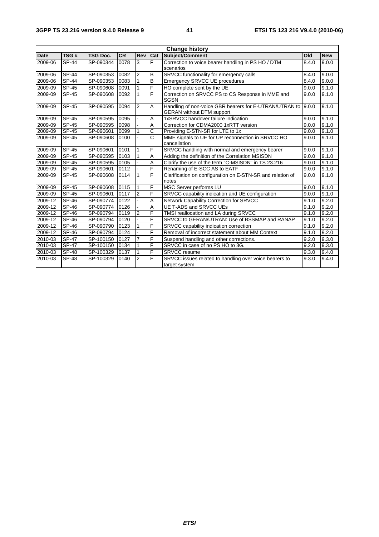| <b>Change history</b> |              |                 |           |                |                       |                                                                                            |       |            |
|-----------------------|--------------|-----------------|-----------|----------------|-----------------------|--------------------------------------------------------------------------------------------|-------|------------|
| <b>Date</b>           | TSG#         | <b>TSG Doc.</b> | <b>CR</b> | <b>Rev</b>     | Cat                   | Subject/Comment                                                                            | Old   | <b>New</b> |
| 2009-06               | <b>SP-44</b> | SP-090344       | 0078      | 3              | F                     | Correction to voice bearer handling in PS HO / DTM                                         | 8.4.0 | 9.0.0      |
|                       |              |                 |           |                |                       | scenarios                                                                                  |       |            |
| 2009-06               | <b>SP-44</b> | SP-090353       | 0082      | $\overline{2}$ | B                     | SRVCC functionality for emergency calls                                                    | 8.4.0 | 9.0.0      |
| 2009-06               | SP-44        | SP-090353       | 0083      | $\mathbf{1}$   | в                     | Emergency SRVCC UE procedures                                                              | 8.4.0 | 9.0.0      |
| 2009-09               | SP-45        | SP-090608       | 0091      | 1              | $\overline{F}$        | HO complete sent by the UE                                                                 | 9.0.0 | 9.1.0      |
| 2009-09               | SP-45        | SP-090608       | 0092      | 1              | F                     | Correction on SRVCC PS to CS Response in MME and<br><b>SGSN</b>                            | 9.0.0 | 9.1.0      |
| 2009-09               | SP-45        | SP-090595       | 0094      | 2              | A                     | Handling of non-voice GBR bearers for E-UTRAN/UTRAN to<br><b>GERAN without DTM support</b> | 9.0.0 | 9.1.0      |
| 2009-09               | SP-45        | SP-090595       | 0095      |                | A                     | 1xSRVCC handover failure indication                                                        | 9.0.0 | 9.1.0      |
| 2009-09               | SP-45        | SP-090595       | 0098      |                | $\overline{A}$        | Correction for CDMA2000 1xRTT version                                                      | 9.0.0 | 9.1.0      |
| 2009-09               | SP-45        | SP-090601       | 0099      | 1              | $\overline{c}$        | Providing E-STN-SR for LTE to 1x                                                           | 9.0.0 | 9.1.0      |
| 2009-09               | SP-45        | SP-090608       | 0100      |                | $\overline{\text{c}}$ | MME signals to UE for UP reconnection in SRVCC HO                                          | 9.0.0 | 9.1.0      |
|                       |              |                 |           |                |                       | cancellation                                                                               |       |            |
| 2009-09               | SP-45        | SP-090601       | 0101      | 1              | $\overline{F}$        | SRVCC handling with normal and emergency bearer                                            | 9.0.0 | 9.1.0      |
| 2009-09               | <b>SP-45</b> | SP-090595       | 0103      | 1              | $\overline{A}$        | Adding the definition of the Correlation MSISDN                                            | 9.0.0 | 9.1.0      |
| 2009-09               | SP-45        | SP-090595       | 0105      |                | A                     | Clarify the use of the term "C-MSISDN" in TS 23.216                                        | 9.0.0 | 9.1.0      |
| 2009-09               | SP-45        | SP-090601       | 0112      |                | F                     | Renaming of E-SCC AS to EATF                                                               | 9.0.0 | 9.1.0      |
| 2009-09               | SP-45        | SP-090608       | 0114      | 1              | $\overline{F}$        | Clarification on configuration on E-STN-SR and relation of<br>notes                        | 9.0.0 | 9.1.0      |
| 2009-09               | SP-45        | SP-090608       | 0115      | 1              | F                     | MSC Server performs LU                                                                     | 9.0.0 | 9.1.0      |
| 2009-09               | SP-45        | SP-090601       | 0117      | $\overline{2}$ | E                     | SRVCC capability indication and UE configuration                                           | 9.0.0 | 9.1.0      |
| 2009-12               | SP-46        | SP-090774       | 0122      |                | A                     | Network Capability Correction for SRVCC                                                    | 9.1.0 | 9.2.0      |
| 2009-12               | SP-46        | SP-090774       | 0126      |                | $\overline{A}$        | <b>UE T-ADS and SRVCC UEs</b>                                                              | 9.1.0 | 9.2.0      |
| 2009-12               | SP-46        | SP-090794       | 0119      | $\overline{2}$ | F                     | TMSI reallocation and LA during SRVCC                                                      | 9.1.0 | 9.2.0      |
| 2009-12               | <b>SP-46</b> | SP-090794       | 0120      |                | F                     | SRVCC to GERAN/UTRAN: Use of BSSMAP and RANAP                                              | 9.1.0 | 9.2.0      |
| 2009-12               | <b>SP-46</b> | SP-090790       | 0123      | 1              | F                     | SRVCC capability indication correction                                                     | 9.1.0 | 9.2.0      |
| 2009-12               | SP-46        | SP-090794       | 0124      |                | F                     | Removal of incorrect statement about MM Context                                            | 9.1.0 | 9.2.0      |
| 2010-03               | <b>SP-47</b> | SP-100150       | 0127      | $\overline{7}$ | F                     | Suspend handling and other corrections.                                                    | 9.2.0 | 9.3.0      |
| 2010-03               | <b>SP-47</b> | SP-100150       | 0134      | 1              | F                     | SRVCC in case of no PS HO to 3G.                                                           | 9.2.0 | 9.3.0      |
| 2010-03               | <b>SP-48</b> | SP-100329       | 0137      | 1              | F                     | <b>SRVCC</b> resume                                                                        | 9.3.0 | 9.4.0      |
| 2010-03               | <b>SP-48</b> | SP-100329       | 0140      | $\overline{2}$ | F                     | SRVCC issues related to handling over voice bearers to                                     | 9.3.0 | 9.4.0      |
|                       |              |                 |           |                |                       | target system                                                                              |       |            |